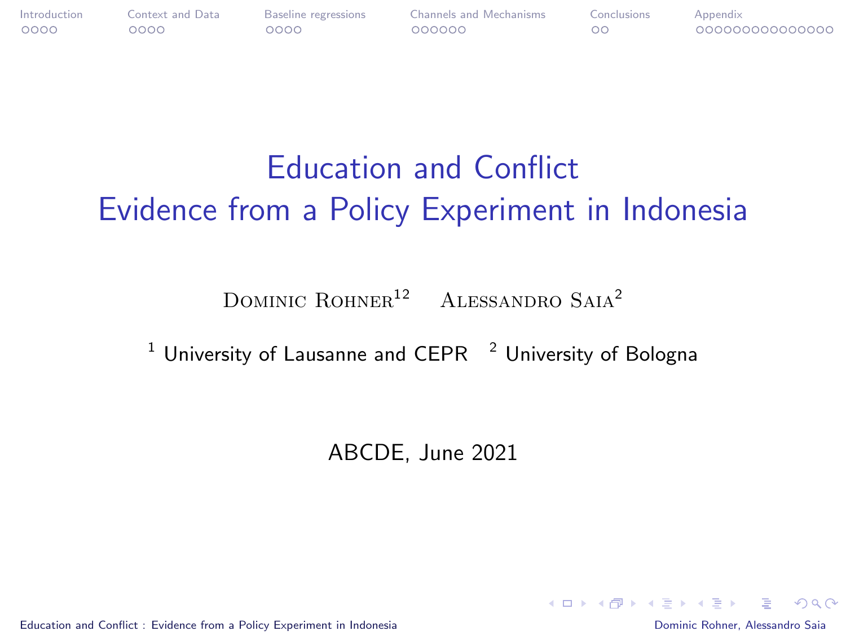<span id="page-0-1"></span><span id="page-0-0"></span>

| <b>Introduction</b> | Context and Data | Baseline regressions | Channels and Mechanisms | Conclusions | Appendix        |
|---------------------|------------------|----------------------|-------------------------|-------------|-----------------|
| 0000                | 0000             | ೦೦೦೦                 | 000000                  |             | 000000000000000 |

## Education and Conflict Evidence from a Policy Experiment in Indonesia

DOMINIC ROHNER<sup>12</sup> ALESSANDRO SAIA<sup>2</sup>

<sup>1</sup> University of Lausanne and CEPR  $<sup>2</sup>$  University of Bologna</sup>

ABCDE, June 2021

[Education and Conflict : Evidence from a Policy Experiment in Indonesia](#page-35-0) Dominic Rohner, Alessandro Saia

**KORK EXTERNS AND KOACH**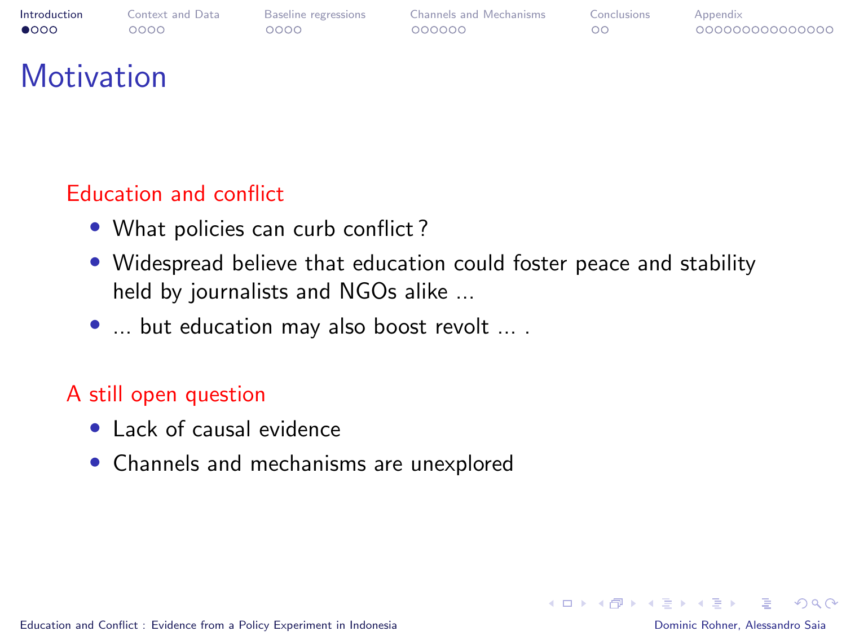<span id="page-1-0"></span>

00000000000000

## **Motivation**

### Education and conflict

- What policies can curb conflict?
- Widespread believe that education could foster peace and stability held by journalists and NGOs alike ...
- ... but education may also boost revolt ... .

### A still open question

- Lack of causal evidence
- Channels and mechanisms are unexplored

后

 $\Omega$ 

イロメ イ何 トイヨ トイヨメ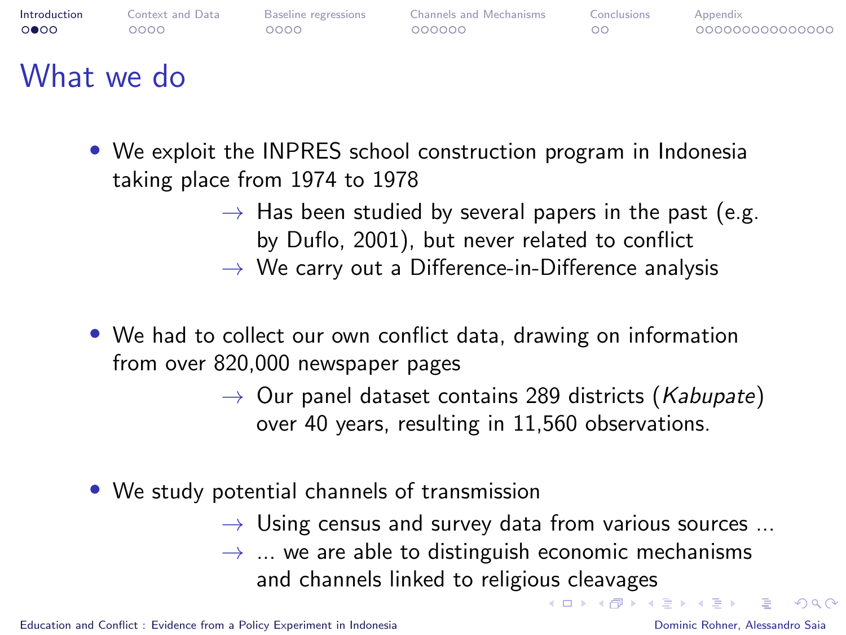

- We exploit the INPRES school construction program in Indonesia taking place from 1974 to 1978
	- $\rightarrow$  Has been studied by several papers in the past (e.g. by Duflo, 2001), but never related to conflict
	- $\rightarrow$  We carry out a Difference-in-Difference analysis
- We had to collect our own conflict data, drawing on information from over 820,000 newspaper pages
	- $\rightarrow$  Our panel dataset contains 289 districts (Kabupate) over 40 years, resulting in 11,560 observations.
- We study potential channels of transmission
	- $\rightarrow$  Using census and survey data from various sources ...  $\rightarrow$  ... we are able to distinguish economic mechanisms and channels linked to religious cleavages イロメ イ団 メイヨメ イヨメ 一番

 $\Omega$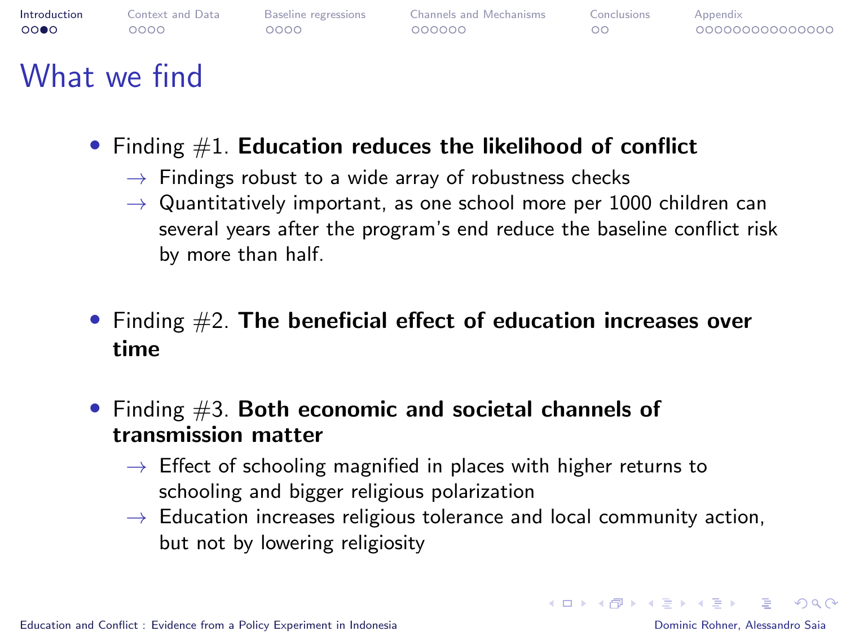<span id="page-3-0"></span>

- Finding  $#1$ . Education reduces the likelihood of conflict
	- $\rightarrow$  Findings robust to a wide array of robustness checks
	- $\rightarrow$  Quantitatively important, as one school more per 1000 children can several years after the program's end reduce the baseline conflict risk by more than half.
- Finding  $#2$ . The beneficial effect of education increases over time
- Finding  $#3$ . Both economic and societal channels of transmission matter
	- $\rightarrow$  Effect of schooling magnified in places with higher returns to schooling and bigger religious polarization
	- $\rightarrow$  Education increases religious tolerance and local community action, but not by lowering religiosity

**KORK ERREPADA ADA KOR**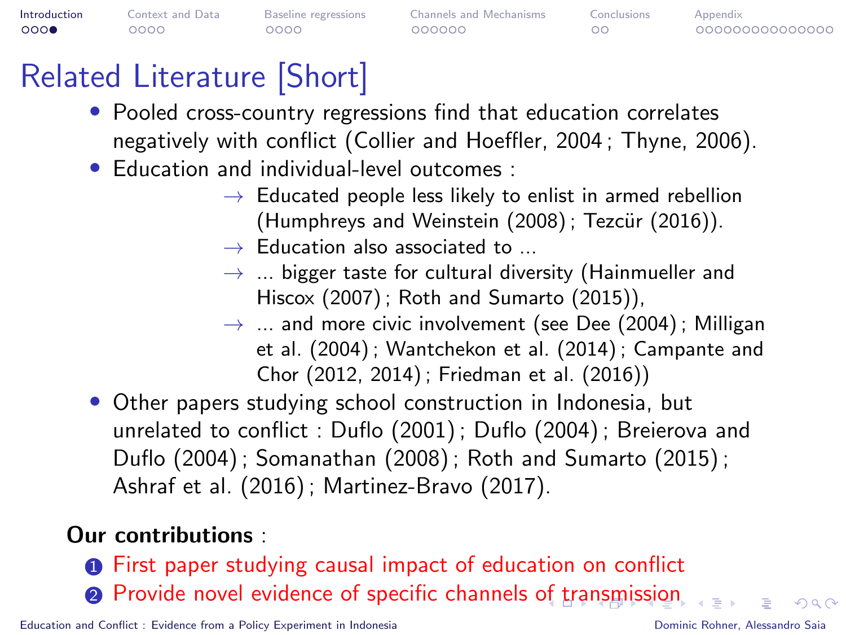<span id="page-4-0"></span>

| Introduction | Context and Data | Baseline regressions | <b>Channels and Mechanisms</b> | Conclusions | Appendix        |
|--------------|------------------|----------------------|--------------------------------|-------------|-----------------|
| 000          | ೦೦೦೦             | 0000                 | 000000                         | ററ          | 000000000000000 |

## Related Literature [Short]

- Pooled cross-country regressions find that education correlates negatively with conflict (Collier and Hoeffler, 2004 ; Thyne, 2006).
- Education and individual-level outcomes :
	- $\rightarrow$  Educated people less likely to enlist in armed rebellion  $(Humphrevs and Weinstein (2008)$ ; Tezcür  $(2016)$ ).
	- $\rightarrow$  Education also associated to  $\rightarrow$
	- $\rightarrow$  ... bigger taste for cultural diversity (Hainmueller and Hiscox (2007) ; Roth and Sumarto (2015)),
	- $\rightarrow$  ... and more civic involvement (see Dee (2004); Milligan et al. (2004) ; Wantchekon et al. (2014) ; Campante and Chor (2012, 2014) ; Friedman et al. (2016))
- Other papers studying school construction in Indonesia, but unrelated to conflict : Duflo (2001) ; Duflo (2004) ; Breierova and Duflo (2004) ; Somanathan (2008) ; Roth and Sumarto (2015) ; Ashraf et al. (2016) ; Martinez-Bravo (2017).

### Our contributions :

**1** First paper studying causal impact of education on conflict **2** Provide novel evidence [of](#page-3-0) specific channels of t[ra](#page-5-0)[ns](#page-3-0)[m](#page-4-0)[is](#page-5-0)[si](#page-0-0)[o](#page-1-0)[n](#page-4-0)

[Education and Conflict : Evidence from a Policy Experiment in Indonesia](#page-0-0) **Dominic Rohner, Alessandro Saia** Dominic Rohner, Alessandro Saia

 $\Omega$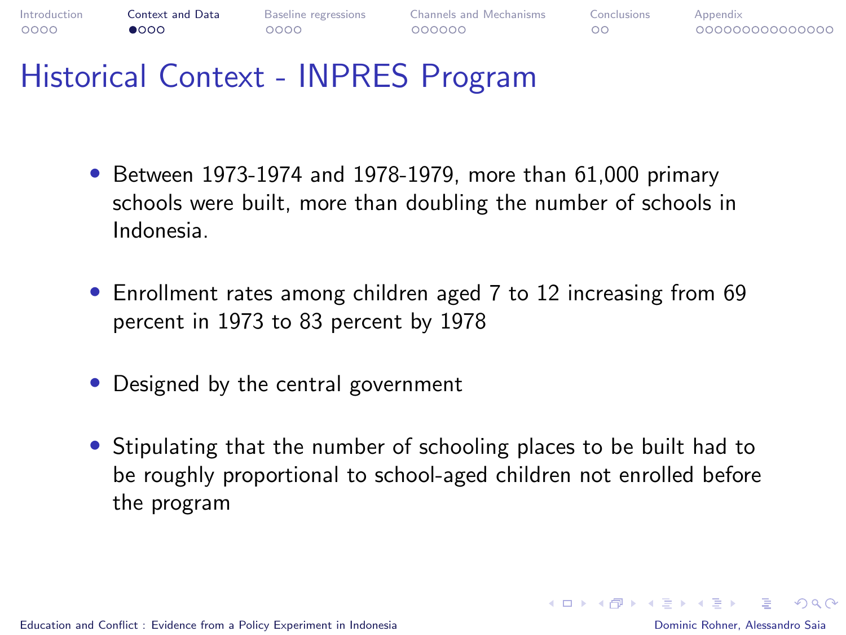<span id="page-5-0"></span>

### Historical Context - INPRES Program

- Between 1973-1974 and 1978-1979, more than 61,000 primary schools were built, more than doubling the number of schools in Indonesia.
- Enrollment rates among children aged 7 to 12 increasing from 69 percent in 1973 to 83 percent by 1978
- Designed by the central government
- Stipulating that the number of schooling places to be built had to be roughly proportional to school-aged children not enrolled before the program

 $\Omega$ 

イロメ イタメ イモメ イモメー ヨー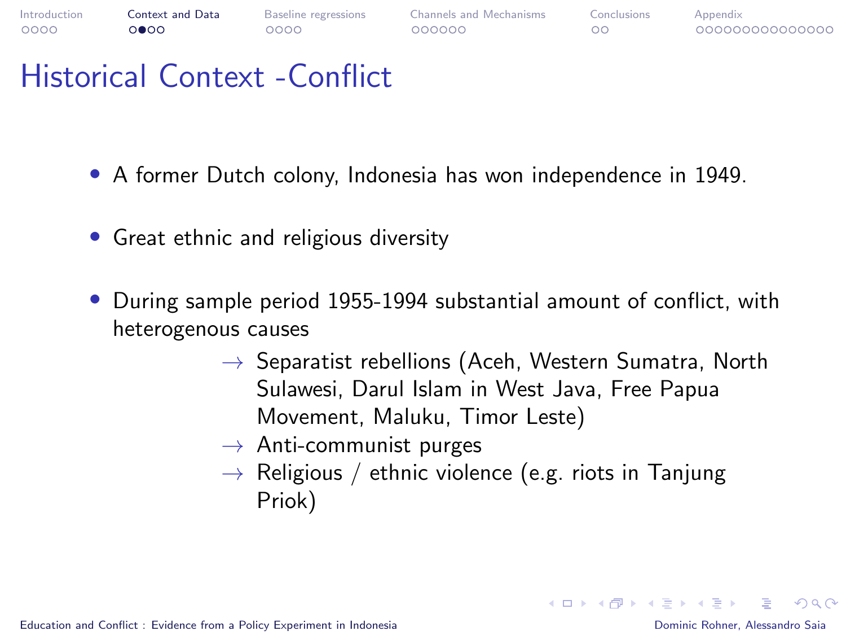

### Historical Context -Conflict

- A former Dutch colony, Indonesia has won independence in 1949.
- Great ethnic and religious diversity
- During sample period 1955-1994 substantial amount of conflict, with heterogenous causes
	- $\rightarrow$  Separatist rebellions (Aceh, Western Sumatra, North Sulawesi, Darul Islam in West Java, Free Papua Movement, Maluku, Timor Leste)
	- $\rightarrow$  Anti-communist purges
	- $\rightarrow$  Religious / ethnic violence (e.g. riots in Tanjung Priok)

[Education and Conflict : Evidence from a Policy Experiment in Indonesia](#page-0-0) Dominic Rohner, Alessandro Saia

 $\Omega$ 

 $\mathbf{E} = \mathbf{A} \oplus \mathbf{B} + \mathbf{A} \oplus \mathbf{B} + \mathbf{A} \oplus \mathbf{B} + \mathbf{A} \oplus \mathbf{B} + \mathbf{A} \oplus \mathbf{B} + \mathbf{A} \oplus \mathbf{B} + \mathbf{A} \oplus \mathbf{B} + \mathbf{A} \oplus \mathbf{B} + \mathbf{A} \oplus \mathbf{B} + \mathbf{A} \oplus \mathbf{B} + \mathbf{A} \oplus \mathbf{B} + \mathbf{A} \oplus \mathbf{B} + \mathbf{A} \oplus \mathbf{B} + \mathbf{A$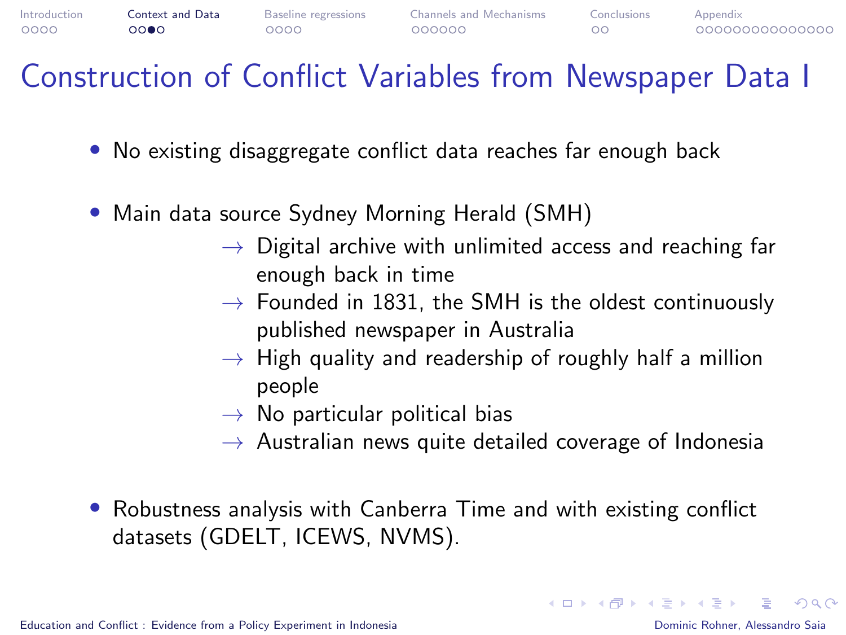

### Construction of Conflict Variables from Newspaper Data I

- No existing disaggregate conflict data reaches far enough back
- Main data source Sydney Morning Herald (SMH)
	- $\rightarrow$  Digital archive with unlimited access and reaching far enough back in time
	- $\rightarrow$  Founded in 1831, the SMH is the oldest continuously published newspaper in Australia
	- $\rightarrow$  High quality and readership of roughly half a million people
	- $\rightarrow$  No particular political bias
	- $\rightarrow$  Australian news quite detailed coverage of Indonesia
- Robustness analysis with Canberra Time and with existing conflict datasets (GDELT, ICEWS, NVMS).

KEL KALK KELKELKAN KELK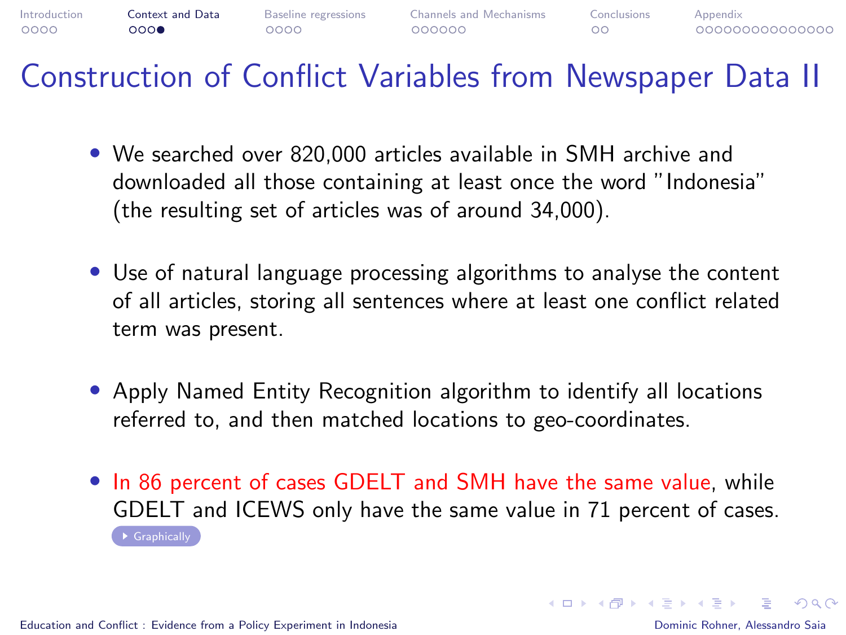

Construction of Conflict Variables from Newspaper Data II

- <span id="page-8-0"></span>• We searched over 820,000 articles available in SMH archive and downloaded all those containing at least once the word "Indonesia" (the resulting set of articles was of around 34,000).
- Use of natural language processing algorithms to analyse the content of all articles, storing all sentences where at least one conflict related term was present.
- Apply Named Entity Recognition algorithm to identify all locations referred to, and then matched locations to geo-coordinates.
- In 86 percent of cases GDELT and SMH have the same value, while GDELT and ICEWS only have the same value in 71 percent of cases.  $\rightarrow$  [Graphically](#page-35-1)

 $\Omega$ 

イロン イ何ン イヨン イヨン・ヨー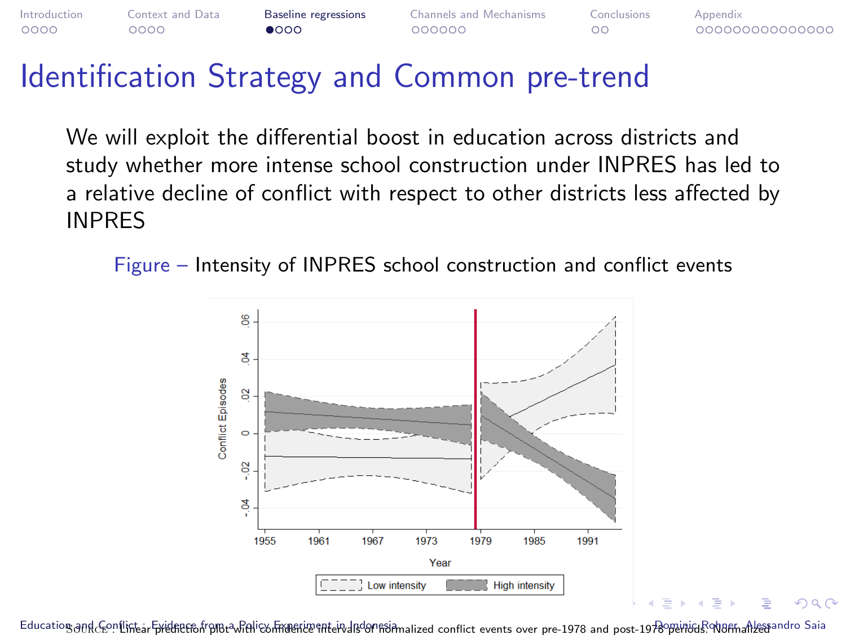### <span id="page-9-0"></span>Identification Strategy and Common pre-trend

We will exploit the differential boost in education across districts and study whether more intense school construction under INPRES has led to a relative decline of conflict with respect to other districts less affected by INPRES

Figure – Intensity of INPRES school construction and conflict events



Education and GeonLinearFprehenenfrpme-Mali&hmeeneventervalsdormainad conntict events over pre-1978 and post-1978 permans?MannalLespandro Saia

 $\Omega$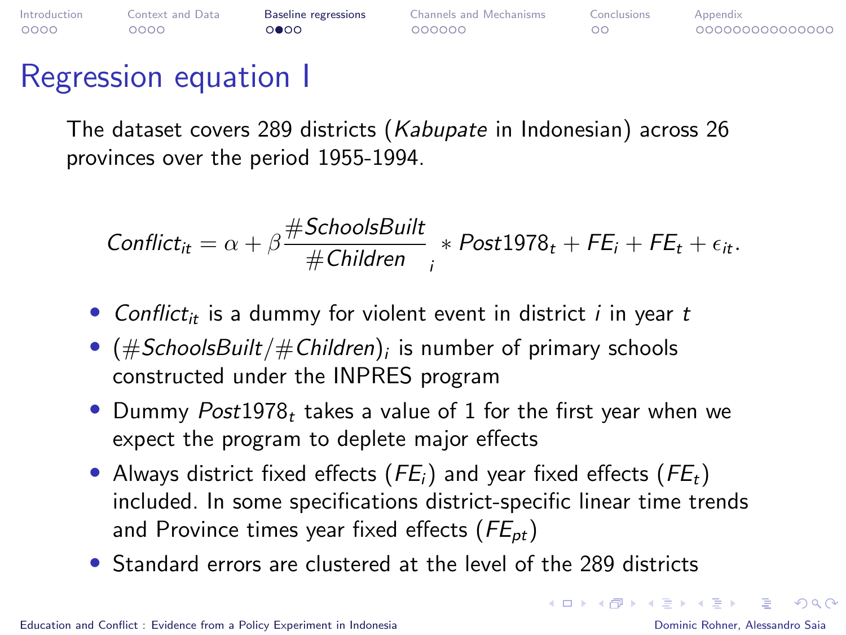| Introduction | Context and Data | <b>Baseline regressions</b> | Channels and Mechanisms | Conclusions | Appendix        |
|--------------|------------------|-----------------------------|-------------------------|-------------|-----------------|
| 0000         | ററററ             | റ∩ൈ                         | 000000                  | ററ          | 000000000000000 |

### Regression equation I

The dataset covers 289 districts (Kabupate in Indonesian) across 26 provinces over the period 1955-1994.

$$
Conflict_{it} = \alpha + \beta \frac{\# SchoolsBuild}{\#Children} \underset{i}{*} Post1978_t + FE_i + FE_t + \epsilon_{it}.
$$

- Conflict<sub>it</sub> is a dummy for violent event in district *i* in year t
- $\bullet$   $(\#SchoolsBuilder/\#Children)_i$  is number of primary schools constructed under the INPRES program
- Dummy  $Post1978<sub>t</sub>$  takes a value of 1 for the first year when we expect the program to deplete major effects
- Always district fixed effects ( $FE_i$ ) and year fixed effects ( $FE_i$ ) included. In some specifications district-specific linear time trends and Province times year fixed effects ( $FE_{pt}$ )
- Standard errors are clustered at the level of the 289 districts

 $\Omega$ 

 $\mathbf{C} = \mathbf{A} \in \mathbf{B} \times \mathbf{A} \in \mathbf{B} \times \mathbf{A} \times \mathbf{B} \times \mathbf{A} \times \mathbf{B} \times \mathbf{A} \times \mathbf{B} \times \mathbf{A} \times \mathbf{B} \times \mathbf{A} \times \mathbf{B} \times \mathbf{A} \times \mathbf{B} \times \mathbf{A} \times \mathbf{B} \times \mathbf{A} \times \mathbf{B} \times \mathbf{A} \times \mathbf{B} \times \mathbf{A} \times \mathbf{B} \times \mathbf{A} \times \mathbf{B} \times \mathbf{A$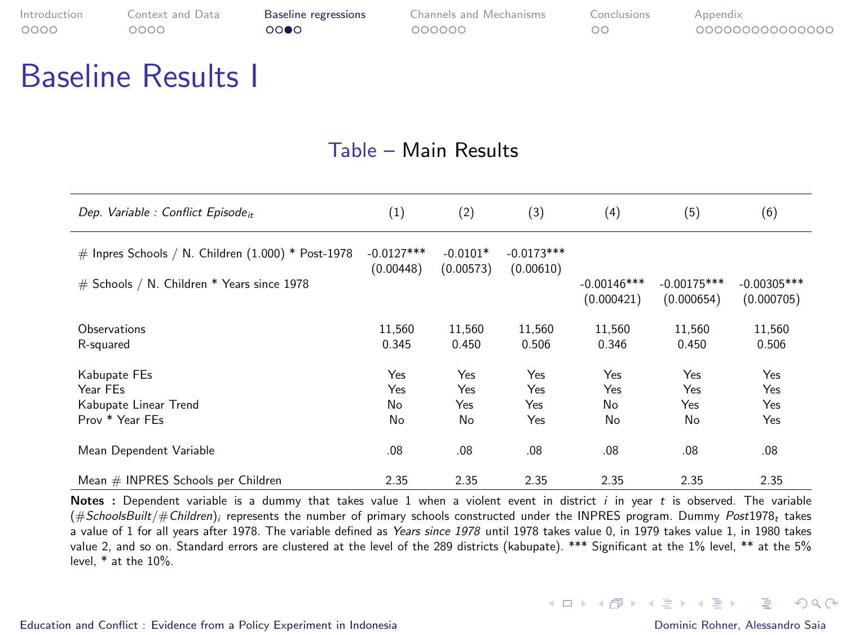### Baseline Results I

#### Table – Main Results

| Dep. Variable : Conflict Episode <sub>it</sub>                                                     | (1)                       | (2)                     | (3)                       | (4)              | (5)           | (6)           |
|----------------------------------------------------------------------------------------------------|---------------------------|-------------------------|---------------------------|------------------|---------------|---------------|
| # Inpres Schools / N. Children $(1.000)$ * Post-1978<br># Schools / N. Children * Years since 1978 | $-0.0127***$<br>(0.00448) | $-0.0101*$<br>(0.00573) | $-0.0173***$<br>(0.00610) | $-0.00146***$    | $-0.00175***$ | $-0.00305***$ |
|                                                                                                    |                           |                         |                           | (0.000421)       | (0.000654)    | (0.000705)    |
| Observations                                                                                       | 11.560                    | 11.560                  | 11.560                    | 11.560           | 11.560        | 11.560        |
| R-squared                                                                                          | 0.345                     | 0.450                   | 0.506                     | 0.346            | 0.450         | 0.506         |
| Kabupate FEs                                                                                       | Yes                       | Yes                     | Yes                       | Yes              | Yes           | Yes           |
| Year FEs                                                                                           | Yes                       | Yes                     | <b>Yes</b>                | Yes              | Yes           | Yes           |
| Kabupate Linear Trend                                                                              | No                        | Yes                     | Yes                       | No.              | Yes           | Yes           |
| Prov * Year FEs                                                                                    | No                        | No                      | Yes                       | No               | No            | Yes           |
| Mean Dependent Variable                                                                            | .08                       | .08                     | .08                       | .08 <sub>0</sub> | .08           | .08           |
| Mean # INPRES Schools per Children                                                                 | 2.35                      | 2.35                    | 2.35                      | 2.35             | 2.35          | 2.35          |

Notes : Dependent variable is a dummy that takes value 1 when a violent event in district i in year t is observed. The variable (#SchoolsBuilt/#Children); represents the number of primary schools constructed under the INPRES program. Dummy Post1978, takes a value of 1 for all years after 1978. The variable defined as Years since 1978 until 1978 takes value 0, in 1979 takes value 1, in 1980 takes value 2, and so on. Standard errors are clustered at the level of the 289 districts (kabupate). \*\*\* Significant at the 1% level, \*\* at the 5% level, \* at the 10%.

后

 $\Omega$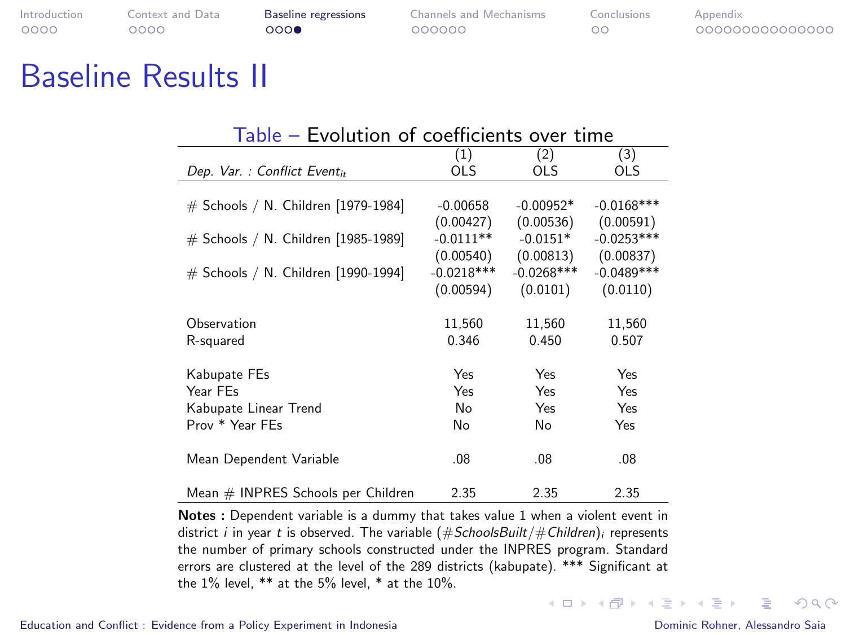| Introduction | Context and Data | <b>Baseline</b> regressions | <b>Channels and Mechanisms</b> | Conclusions | Appendix        |
|--------------|------------------|-----------------------------|--------------------------------|-------------|-----------------|
| 0000         | റററെ             | റററെ                        | 000000                         | ററ          | 000000000000000 |

### Baseline Results II

| Table — Evolution of coefficients over time |              |               |              |  |  |  |  |  |
|---------------------------------------------|--------------|---------------|--------------|--|--|--|--|--|
|                                             | (1)          | (2)           | (3)          |  |  |  |  |  |
| Dep. Var.: Conflict Eventit                 | <b>OLS</b>   | OLS           | <b>OLS</b>   |  |  |  |  |  |
|                                             |              |               |              |  |  |  |  |  |
| # Schools / N. Children [1979-1984]         | $-0.00658$   | $-0.00952*$   | $-0.0168***$ |  |  |  |  |  |
|                                             | (0.00427)    | (0.00536)     | (0.00591)    |  |  |  |  |  |
| # Schools / N. Children [1985-1989]         | $-0.0111**$  | $-0.0151*$    | $-0.0253***$ |  |  |  |  |  |
|                                             | (0.00540)    | (0.00813)     | (0.00837)    |  |  |  |  |  |
| # Schools / N. Children [1990-1994]         | $-0.0218***$ | $-0.0268$ *** | $-0.0489***$ |  |  |  |  |  |
|                                             | (0.00594)    | (0.0101)      | (0.0110)     |  |  |  |  |  |
|                                             |              |               |              |  |  |  |  |  |
| Observation                                 | 11,560       | 11,560        | 11,560       |  |  |  |  |  |
| R-squared                                   | 0.346        | 0.450         | 0.507        |  |  |  |  |  |
|                                             |              |               |              |  |  |  |  |  |
| Kabupate FEs                                | Yes          | Yes           | Yes          |  |  |  |  |  |
| Year FEs                                    | Yes          | Yes           | Yes          |  |  |  |  |  |
| Kabupate Linear Trend                       | No           | Yes           | Yes          |  |  |  |  |  |
| Prov * Year FEs                             | No           | No            | Yes          |  |  |  |  |  |
|                                             |              |               |              |  |  |  |  |  |
| Mean Dependent Variable                     | .08          | .08           | .08          |  |  |  |  |  |
|                                             |              |               |              |  |  |  |  |  |
| Mean # INPRES Schools per Children          | 2.35         | 2.35          | 2.35         |  |  |  |  |  |

Notes : Dependent variable is a dummy that takes value 1 when a violent event in district i in year t is observed. The variable  $(\#SchoolsBuild/\#Children)_i$  represents the number of primary schools constructed under the INPRES program. Standard errors are clustered at the level of the 289 districts (kabupate). \*\*\* Significant at the  $1\%$  level,  $**$  at the 5% level,  $*$  at the  $10\%$ .

 $\Omega$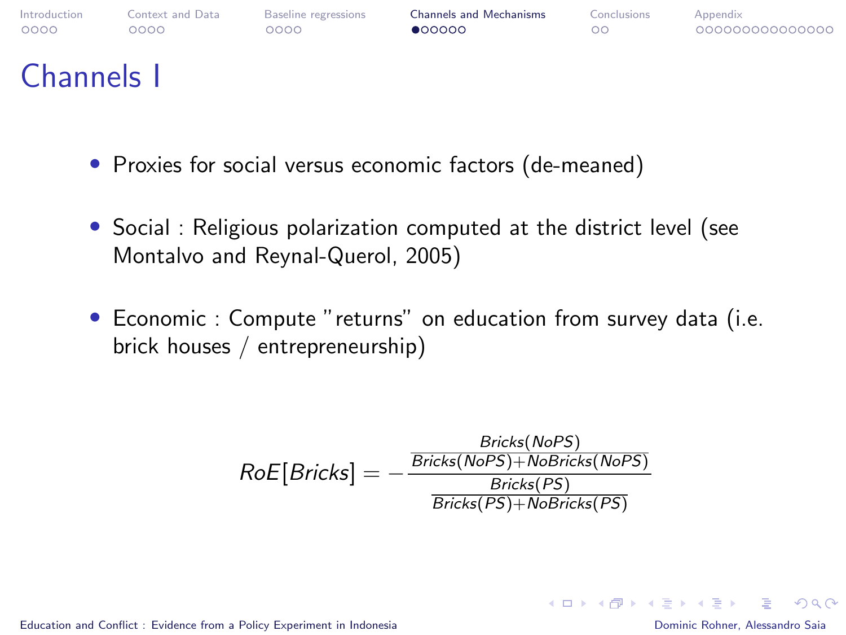<span id="page-13-0"></span>

### Channels I

- Proxies for social versus economic factors (de-meaned)
- Social : Religious polarization computed at the district level (see Montalvo and Reynal-Querol, 2005)
- Economic : Compute "returns" on education from survey data (i.e. brick houses / entrepreneurship)

$$
RoE[Bricks] = -\frac{\frac{Bricks(NoPS)}{Bricks(NoPS)+NoBricks(NoPS)}}{\frac{Bricks(PS)}{Bricks(PS)+NoBricks(PS)}}
$$

[Education and Conflict : Evidence from a Policy Experiment in Indonesia](#page-0-0) Dominic Rohner, Alessandro Saia

**KED KAP KED KED E VAR**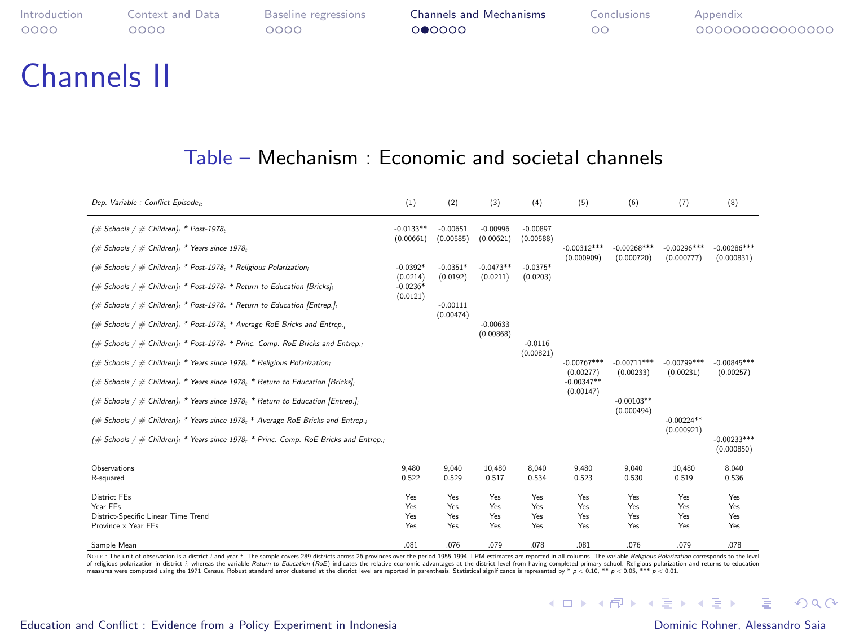| Introduction | Context and Data | <b>Baseline regressions</b> | <b>Channels and Mechanisms</b> | Conclusions | Appendix        |
|--------------|------------------|-----------------------------|--------------------------------|-------------|-----------------|
| 0000         | റററെ             | റററെ                        | 000000                         | ററ          | 000000000000000 |
|              |                  |                             |                                |             |                 |

#### Table – Mechanism : Economic and societal channels

| Dep. Variable : Conflict Episode»                                                    | (1)                    | (2)                     | (3)                     | (4)                    | (5)                         | (6)                         | (7)                         | (8)                         |
|--------------------------------------------------------------------------------------|------------------------|-------------------------|-------------------------|------------------------|-----------------------------|-----------------------------|-----------------------------|-----------------------------|
| $(\#$ Schools / $\#$ Children); * Post-1978 <sub>t</sub>                             | $-0.0133**$            | $-0.00651$              | $-0.00996$              | $-0.00897$             |                             |                             |                             |                             |
| $(\#$ Schools / $\#$ Children); * Years since 1978;                                  | (0.00661)              | (0.00585)               | (0.00621)               | (0.00588)              | $-0.00312***$<br>(0.000909) | $-0.00268***$<br>(0.000720) | $-0.00296***$<br>(0.000777) | $-0.00286***$<br>(0.000831) |
| $(\#$ Schools / $\#$ Children); * Post-1978; * Religious Polarization;               | $-0.0392*$<br>(0.0214) | $-0.0351*$<br>(0.0192)  | $-0.0473**$<br>(0.0211) | $-0.0375*$<br>(0.0203) |                             |                             |                             |                             |
| (# Schools / # Children), * Post-1978, * Return to Education [Bricks],               | $-0.0236*$<br>(0.0121) |                         |                         |                        |                             |                             |                             |                             |
| (# Schools / # Children); * Post-1978, * Return to Education [Entrep.];              |                        | $-0.00111$<br>(0.00474) |                         |                        |                             |                             |                             |                             |
| (# Schools / # Children); * Post-1978, * Average RoE Bricks and Entrep.;             |                        |                         | $-0.00633$<br>(0.00868) |                        |                             |                             |                             |                             |
| (# Schools / # Children); * Post-1978; * Princ. Comp. RoE Bricks and Entrep.;        |                        |                         |                         | $-0.0116$<br>(0.00821) |                             |                             |                             |                             |
| $(\#$ Schools / $\#$ Children); * Years since 1978; * Religious Polarization;        |                        |                         |                         |                        | $-0.00767***$<br>(0.00277)  | $-0.00711***$<br>(0.00233)  | $-0.00799***$<br>(0.00231)  | $-0.00845***$<br>(0.00257)  |
| $(\#$ Schools / $\#$ Children); * Years since 1978; * Return to Education [Bricks];  |                        |                         |                         |                        | $-0.00347**$<br>(0.00147)   |                             |                             |                             |
| $(\#$ Schools / $\#$ Children); * Years since 1978; * Return to Education [Entrep.]; |                        |                         |                         |                        |                             | $-0.00103**$<br>(0.000494)  |                             |                             |
| (# Schools / # Children); * Years since 1978; * Average RoE Bricks and Entrep.;      |                        |                         |                         |                        |                             |                             | $-0.00224**$<br>(0.000921)  |                             |
| (# Schools / # Children); * Years since 1978; * Princ. Comp. RoE Bricks and Entrep.; |                        |                         |                         |                        |                             |                             |                             | $-0.00233***$<br>(0.000850) |
| Observations<br>R-squared                                                            | 9.480<br>0.522         | 9.040<br>0.529          | 10.480<br>0.517         | 8.040<br>0.534         | 9.480<br>0.523              | 9.040<br>0.530              | 10.480<br>0.519             | 8.040<br>0.536              |
|                                                                                      |                        |                         |                         |                        |                             |                             |                             |                             |
| <b>District FEs</b><br>Year FEs                                                      | Yes<br>Yes             | Yes<br>Yes              | Yes<br>Yes              | Yes<br>Yes             | Yes<br>Yes                  | Yes<br>Yes                  | Yes<br>Yes                  | Yes<br>Yes                  |
| District-Specific Linear Time Trend                                                  | Yes                    | Yes                     | Yes                     | Yes                    | Yes                         | Yes                         | Yes                         | Yes                         |
| Province x Year FEs                                                                  | Yes                    | Yes                     | Yes                     | Yes                    | Yes                         | Yes                         | Yes                         | Yes                         |
| Sample Mean                                                                          | .081                   | .076                    | .079                    | .078                   | .081                        | .076                        | .079                        | .078                        |

 $\frac{601}{50000} = \frac{0.07}{0.07} = \frac{0.07}{0.07} = \frac{0.07}{0.07} = \frac{0.07}{0.07} = \frac{0.07}{0.07} = \frac{0.07}{0.07} = \frac{0.07}{0.07} = \frac{0.07}{0.07} = \frac{0.07}{0.07} = \frac{0.07}{0.07} = \frac{0.07}{0.07} = \frac{0.07}{0.07} = \frac{0.07}{0.07} = \frac{0.07}{0.07} = \frac{0.07}{0.$ 

#### [Education and Conflict : Evidence from a Policy Experiment in Indonesia](#page-0-0) Dominic Rohner, Alessandro Saia

Channels II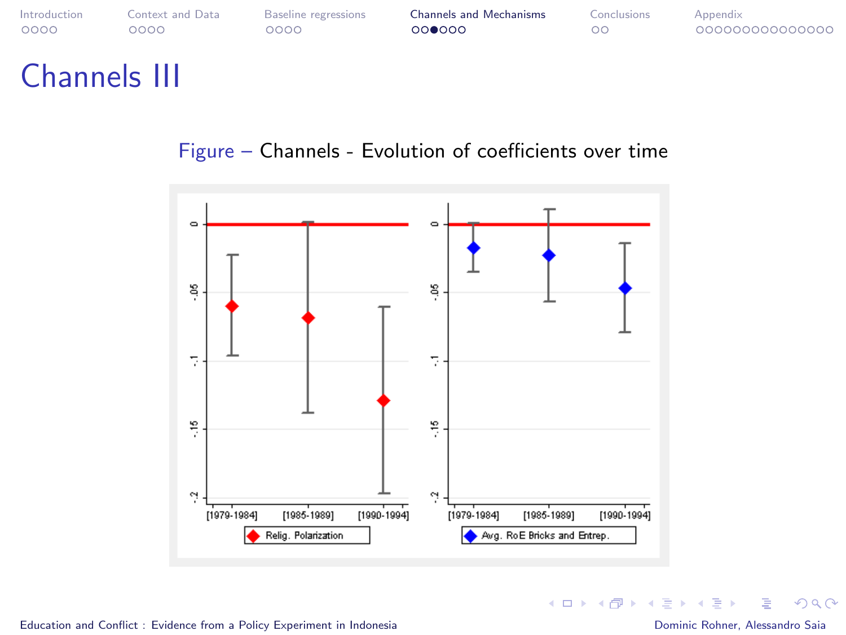| Introduction        | Context and Data | Baseline regressions | <b>Channels and Mechanisms</b> | Conclusions | Appendix       |
|---------------------|------------------|----------------------|--------------------------------|-------------|----------------|
| 0000                | റററ              | 0000                 | 000000                         | oο          | 00000000000000 |
| <b>Channels III</b> |                  |                      |                                |             |                |

#### Figure – Channels - Evolution of coefficients over time



Ε

 $299$ 

メロトメ 御 トメ ミトメ ミト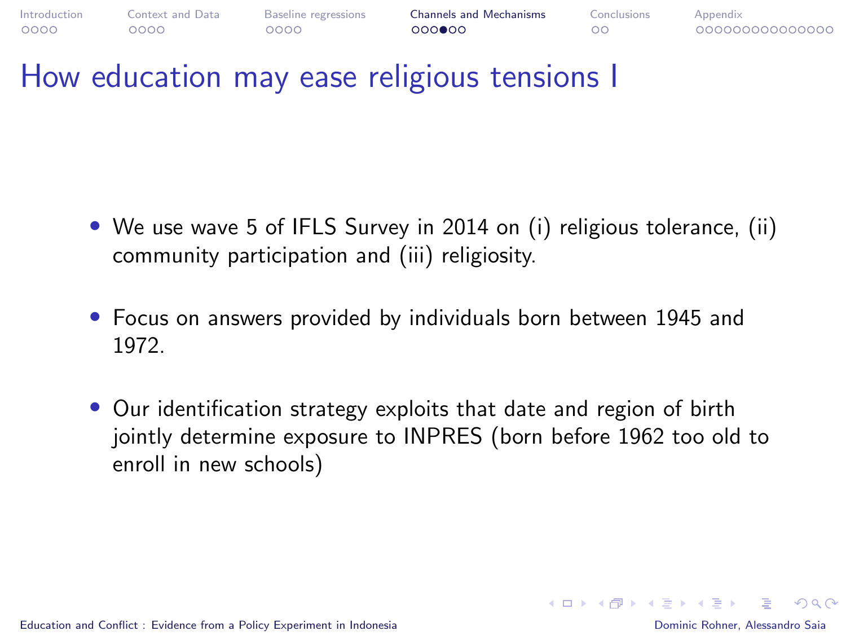

### How education may ease religious tensions I

- We use wave 5 of IFLS Survey in 2014 on (i) religious tolerance, (ii) community participation and (iii) religiosity.
- Focus on answers provided by individuals born between 1945 and 1972.
- Our identification strategy exploits that date and region of birth jointly determine exposure to INPRES (born before 1962 too old to enroll in new schools)

 $\Omega$ 

イロメ イ押 レイモ レイモ レー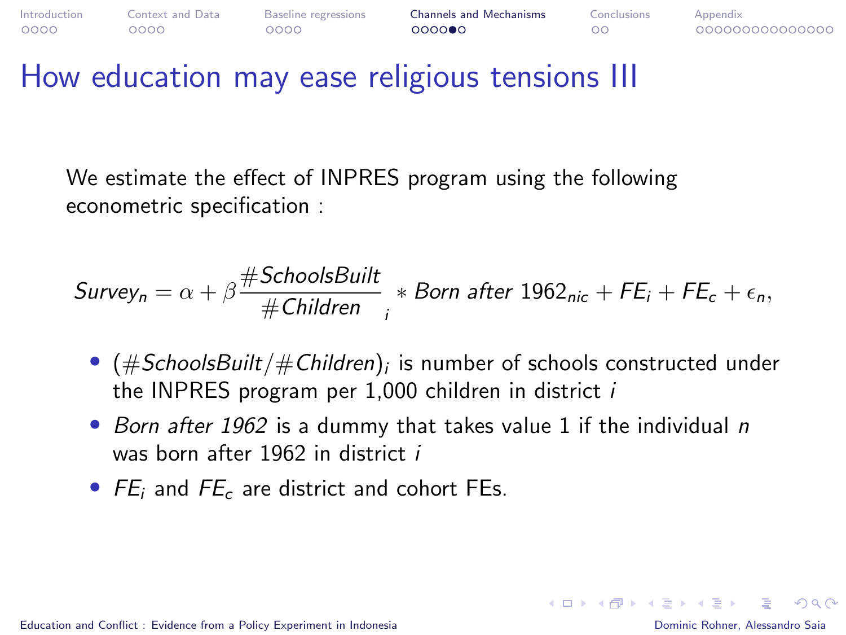

### How education may ease religious tensions III

We estimate the effect of INPRES program using the following econometric specification :

$$
Survey_n = \alpha + \beta \frac{\# SchoolsBuilder}{\#Children} * Born after 1962_{nic} + FE_i + FE_c + \epsilon_n,
$$

- $\bullet$   $(\#SchoolsBuild/\#Children)_i$  is number of schools constructed under the INPRES program per 1,000 children in district i
- Born after 1962 is a dummy that takes value 1 if the individual n was born after 1962 in district i
- $FE_i$  and  $FE_c$  are district and cohort FEs.

 $\Omega$ 

イロメ イタメ イモメ イモメー ヨー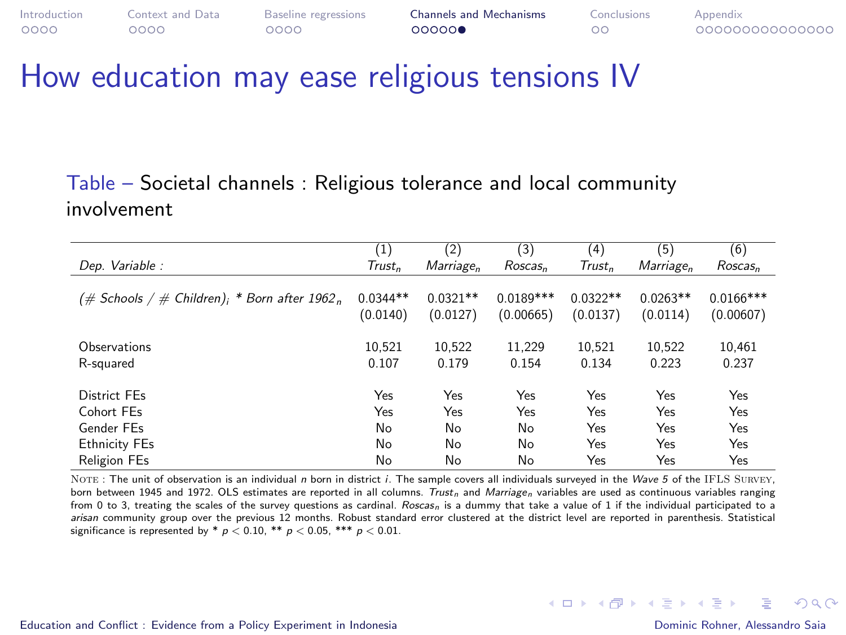| Introduction | Context and Data | Baseline regressions | <b>Channels and Mechanisms</b> | Conclusions | Appendix        |
|--------------|------------------|----------------------|--------------------------------|-------------|-----------------|
| 0000         | ೦೦೦೦             | 0000                 | 00000                          |             | 000000000000000 |

### How education may ease religious tensions IV

#### Table – Societal channels : Religious tolerance and local community involvement

|                                                          | (1)                    | (2)                    | (3)                      | (4)                    | (5)                    | (6)                      |
|----------------------------------------------------------|------------------------|------------------------|--------------------------|------------------------|------------------------|--------------------------|
| Dep. Variable :                                          | $Trust_n$              | Marriage <sub>n</sub>  | Roscas <sub>n</sub>      | Trust <sub>n</sub>     | Marriage <sub>n</sub>  | Roscas <sub>n</sub>      |
| $(\text{\# Schools / \# Children})$ ; * Born after 1962, | $0.0344**$<br>(0.0140) | $0.0321**$<br>(0.0127) | $0.0189***$<br>(0.00665) | $0.0322**$<br>(0.0137) | $0.0263**$<br>(0.0114) | $0.0166***$<br>(0.00607) |
| Observations<br>R-sauared                                | 10.521<br>0.107        | 10.522<br>0.179        | 11.229<br>0.154          | 10.521<br>0.134        | 10.522<br>0.223        | 10.461<br>0.237          |
| District FEs                                             | Yes                    | Yes                    | Yes                      | Yes                    | Yes                    | Yes                      |
| Cohort FEs                                               | Yes                    | Yes                    | Yes                      | Yes                    | Yes                    | Yes                      |
| Gender FFs                                               | No                     | No                     | No                       | Yes                    | Yes                    | Yes                      |
| <b>Ethnicity FEs</b>                                     | No                     | No                     | No                       | Yes                    | Yes                    | Yes                      |
| <b>Religion FEs</b>                                      | No                     | No                     | No                       | Yes                    | Yes                    | Yes                      |

NOTE: The unit of observation is an individual n born in district i. The sample covers all individuals surveyed in the Wave 5 of the IFLS SURVEY. born between 1945 and 1972. OLS estimates are reported in all columns. Trust, and Marriage, variables are used as continuous variables ranging from 0 to 3, treating the scales of the survey questions as cardinal. Roscas, is a dummy that take a value of 1 if the individual participated to a arisan community group over the previous 12 months. Robust standard error clustered at the district level are reported in parenthesis. Statistical significance is represented by  $n < 0.10$ ,  $**$   $p < 0.05$ ,  $***$   $p < 0.01$ .

[Education and Conflict : Evidence from a Policy Experiment in Indonesia](#page-0-0) Dominic Rohner, Alessandro Saia

 $\Omega$ 

 $\mathbf{A} \equiv \mathbf{A} + \mathbf{A} + \mathbf{B} + \mathbf{A} + \mathbf{B} + \mathbf{A} + \mathbf{B} + \mathbf{A}$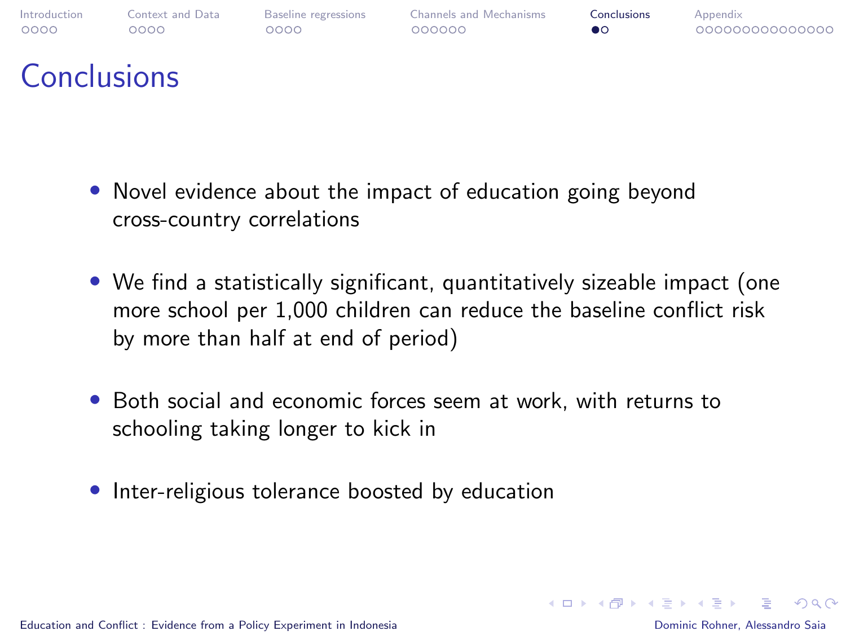<span id="page-19-0"></span>

### **Conclusions**

- Novel evidence about the impact of education going beyond cross-country correlations
- We find a statistically significant, quantitatively sizeable impact (one more school per 1,000 children can reduce the baseline conflict risk by more than half at end of period)
- Both social and economic forces seem at work, with returns to schooling taking longer to kick in
- Inter-religious tolerance boosted by education

 $\Omega$ 

イロメ イ押 レイモ レイモ レー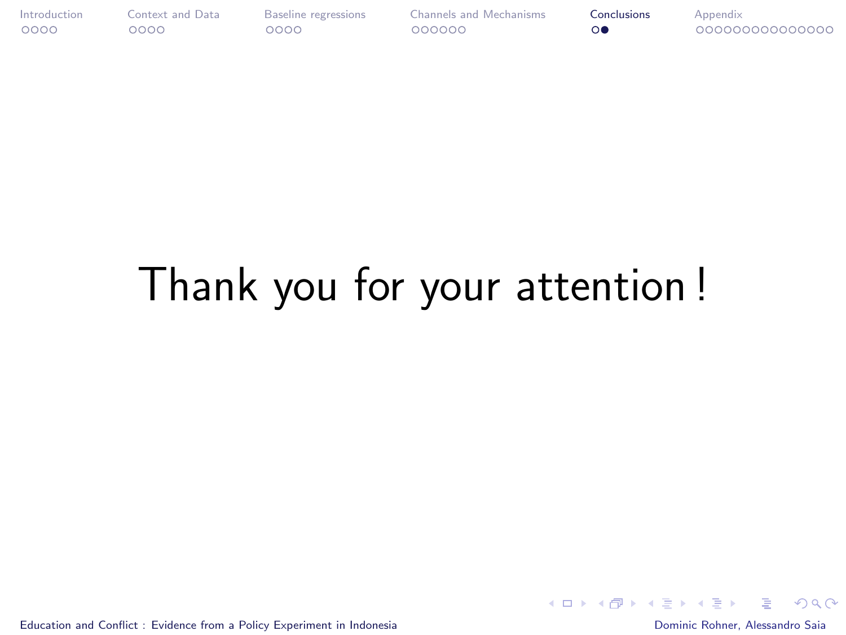<span id="page-20-0"></span>

# Thank you for your attention !

[Education and Conflict : Evidence from a Policy Experiment in Indonesia](#page-0-0) Dominic Rohner, Alessandro Saia

后

 $QQ$ 

 $\mathcal{A} \subseteq \mathcal{F} \times \mathcal{A} \xrightarrow{\mathcal{B}} \mathcal{F} \times \mathcal{A} \xrightarrow{\mathcal{B}} \mathcal{F} \times \mathcal{A} \xrightarrow{\mathcal{B}} \mathcal{F}$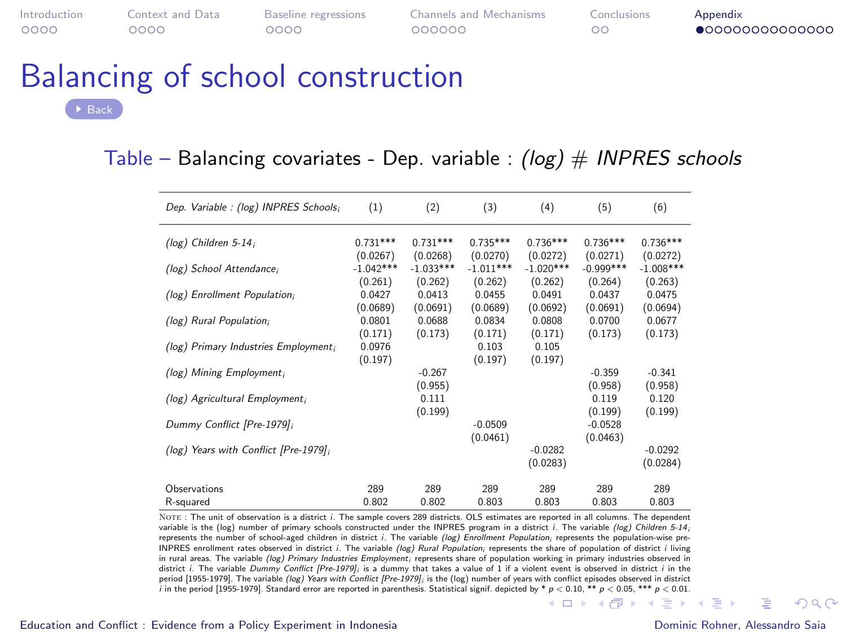<span id="page-21-0"></span>

 $0000$ 

[Introduction](#page-1-0) [Context and Data](#page-5-0) [Baseline regressions](#page-9-0) [Channels and Mechanisms](#page-13-0) [Conclusions](#page-19-0) [Appendix](#page-21-0)

 $\circ$ 

 $\bullet$ 00000000000000

### Balancing of school construction [Back](#page-0-1)

#### Table – Balancing covariates - Dep. variable :  $(log)$  # INPRES schools

| Dep. Variable : (log) INPRES Schools; | (1)                    | (2)                    | (3)                    | (4)                    | (5)                    | (6)                    |
|---------------------------------------|------------------------|------------------------|------------------------|------------------------|------------------------|------------------------|
| (log) Children $5-14$ ;               | $0.731***$<br>(0.0267) | $0.731***$<br>(0.0268) | $0.735***$<br>(0.0270) | $0.736***$<br>(0.0272) | $0.736***$<br>(0.0271) | $0.736***$<br>(0.0272) |
| (log) School Attendance;              | $-1.042***$<br>(0.261) | $-1.033***$<br>(0.262) | $-1.011***$<br>(0.262) | $-1.020***$<br>(0.262) | $-0.999***$<br>(0.264) | $-1.008***$<br>(0.263) |
| (log) Enrollment Population;          | 0.0427<br>(0.0689)     | 0.0413<br>(0.0691)     | 0.0455<br>(0.0689)     | 0.0491<br>(0.0692)     | 0.0437<br>(0.0691)     | 0.0475<br>(0.0694)     |
| (log) Rural Population;               | 0.0801<br>(0.171)      | 0.0688<br>(0.173)      | 0.0834<br>(0.171)      | 0.0808<br>(0.171)      | 0.0700<br>(0.173)      | 0.0677<br>(0.173)      |
| (log) Primary Industries Employment;  | 0.0976<br>(0.197)      |                        | 0.103<br>(0.197)       | 0.105<br>(0.197)       |                        |                        |
| (log) Mining Employment;              |                        | $-0.267$<br>(0.955)    |                        |                        | $-0.359$<br>(0.958)    | $-0.341$<br>(0.958)    |
| (log) Agricultural Employment;        |                        | 0.111<br>(0.199)       |                        |                        | 0.119<br>(0.199)       | 0.120<br>(0.199)       |
| Dummy Conflict [Pre-1979];            |                        |                        | $-0.0509$<br>(0.0461)  |                        | $-0.0528$<br>(0.0463)  |                        |
| (log) Years with Conflict [Pre-1979]; |                        |                        |                        | $-0.0282$<br>(0.0283)  |                        | $-0.0292$<br>(0.0284)  |
| Observations                          | 289                    | 289                    | 289                    | 289                    | 289                    | 289                    |
| R-squared                             | 0.802                  | 0.802                  | 0.803                  | 0.803                  | 0.803                  | 0.803                  |

NOTE: The unit of observation is a district i. The sample covers 289 districts. OLS estimates are reported in all columns. The dependent variable is the (log) number of primary schools constructed under the INPRES program in a district *i*. The variable (log) Children 5-14 represents the number of school-aged children in district i. The variable (log) Enrollment Population; represents the population-wise pre-INPRES enrollment rates observed in district *i*. The variable (log) Rural Population: represents the share of population of district *i* living in rural areas. The variable (log) Primary Industries Employment; represents share of population working in primary industries observed in district i. The variable Dummy Conflict [Pre-1979], is a dummy that takes a value of 1 if a violent event is observed in district i in the period [1955-1979]. The variable (log) Years with Conflict [Pre-1979]; is the (log) number of years with conflict episodes observed in district i in the period [1955-1979]. Standard error are reported in parenthesis. Statistical signif. depicted by [\\*](#page-20-0) p < 0.[10, \\*](#page-22-0)[\\*](#page-20-0) p [<](#page-21-0) [0](#page-21-0).0[5, \\*](#page-22-0)[\\*\\*](#page-20-0) p < 0.[01.](#page-35-0)<br> $\blacksquare \blacktriangleright \blacksquare \blacksquare \blacktriangleright \blacksquare \blacksquare$ 

 $\Omega$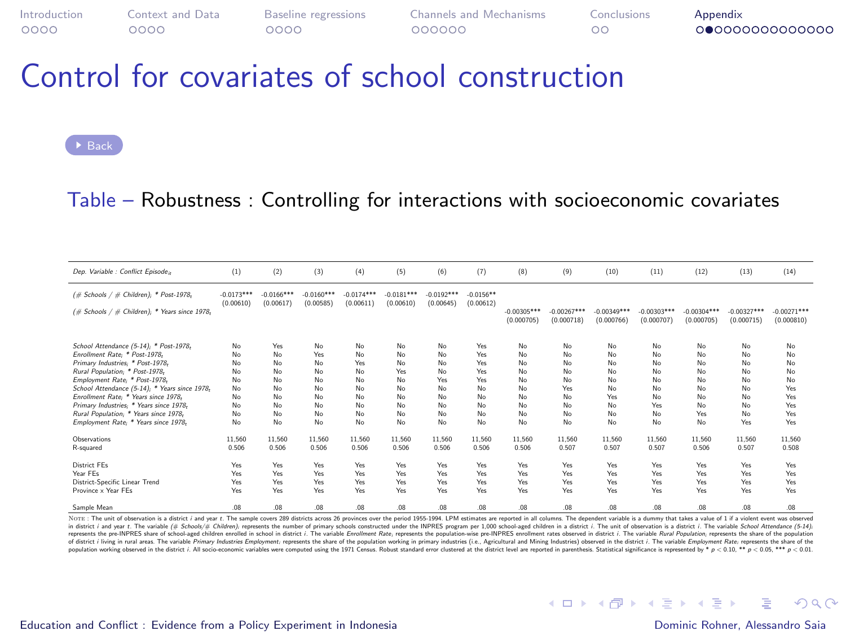### <span id="page-22-0"></span>Control for covariates of school construction

Table – Robustness : Controlling for interactions with socioeconomic covariates

| Dep. Variable : Conflict Episode <sub>it</sub>      | (1)          | (2)          | (3)          | (4)         | (5)        | (6)         | (7)         | (8)           | (9)           | (10)         | (11)          | (12)       | (13)          | (14)          |
|-----------------------------------------------------|--------------|--------------|--------------|-------------|------------|-------------|-------------|---------------|---------------|--------------|---------------|------------|---------------|---------------|
| (# Schools / # Children); * Post-1978;              | $-0.0173***$ | $-0.0166***$ | $-0.0160***$ | $0.0174***$ | 0.0181***  | $.0.0192**$ | $-0.0156**$ | $-0.00305***$ | $-0.00267***$ | $-0.00349**$ | $-0.00303***$ | 0.00304*** | $-0.00327***$ | $-0.00271***$ |
| $(\#$ Schools / $\#$ Children), * Years since 1978, | (0.00610)    | (0.00617)    | (0.00585)    | (0.00611)   | (0.00610)  | (0.00645)   | (0.00612)   | (0.000705)    | (0.000718)    | (0.000766)   | (0.000707)    | (0.000705) | (0.000715)    | (0.000810)    |
| School Attendance (5-14); * Post-1978;              | No           | Yes          | No           | No          | No         | No          | Yes         | No            | No            | No           | No            | No         | No            | No            |
| Enrollment Rate: * Post-1978.                       | No           | No           | Yes          | No          | No         | No          | Yes         | No            | No            | No           | No            | No         | No            | No            |
| Primary Industries: * Post-1978-                    | No           | No           | No           | <b>Yes</b>  | No         | No          | <b>Yes</b>  | No            | No            | No           | No            | No         | No            | No            |
| Rural Population, * Post-1978,                      | No           | No           | No           | No          | <b>Yes</b> | No          | Yes         | No            | No            | No           | No            | No         | No            | No            |
| Employment Rate; * Post-1978;                       | No           | No           | No.          | No          | No         | <b>Yes</b>  | <b>Yes</b>  | No            | No            | No           | No            | No         | No            | No            |
| School Attendance (5-14); * Years since 1978;       | No           | No           | No           | No          | No         | No          | No          | No            | Yes           | No           | No            | No         | No            | Yes           |
| Enrollment Rate: * Years since 1978.                | No           | No           | No           | No          | No         | No          | No          | No            | No            | Yes          | No            | No         | No            | Yes           |
| Primary Industries, * Years since 1978,             | No           | No           | No.          | No          | No         | No          | No          | No            | No            | No           | Yes           | No         | No            | Yes           |
| Rural Population: * Years since 1978-               | No           | No           | No.          | No          | No         | No          | No          | No            | No            | No           | No            | Yes        | No            | Yes           |
| Employment Rate: * Years since 1978-                | No           | No           | No           | No.         | No         | No          | No.         | No            | No            | No           | No            | No         | Yes           | Yes           |
| Observations                                        | 11.560       | 11.560       | 11.560       | 11.560      | 11.560     | 11.560      | 11.560      | 11.560        | 11.560        | 11.560       | 11.560        | 11.560     | 11.560        | 11.560        |
| R-squared                                           | 0.506        | 0.506        | 0.506        | 0.506       | 0.506      | 0.506       | 0.506       | 0.506         | 0.507         | 0.507        | 0.507         | 0.506      | 0.507         | 0.508         |
| <b>District FEs</b>                                 | Yes          | Yes          | Yes          | Yes         | <b>Yes</b> | <b>Yes</b>  | <b>Yes</b>  | <b>Yes</b>    | Yes           | Yes          | <b>Yes</b>    | <b>Yes</b> | Yes           | Yes           |
| Year FEs                                            | Yes          | Yes          | Yes.         | <b>Yes</b>  | <b>Yes</b> | <b>Yes</b>  | <b>Yes</b>  | <b>Yes</b>    | Yes           | Yes          | <b>Yes</b>    | <b>Yes</b> | Yes           | Yes           |
| District-Specific Linear Trend                      | Yes          | Yes          | <b>Yes</b>   | <b>Yes</b>  | <b>Yes</b> | <b>Yes</b>  | <b>Yes</b>  | <b>Yes</b>    | Yes           | Yes          | Yes           | <b>Yes</b> | Yes           | Yes           |
| Province x Year FEs                                 | Yes          | <b>Yes</b>   | <b>Yes</b>   | <b>Yes</b>  | <b>Yes</b> | <b>Yes</b>  | <b>Yes</b>  | <b>Yes</b>    | Yes           | Yes          | <b>Yes</b>    | <b>Yes</b> | Yes           | Yes           |
| Sample Mean                                         | .08          | 80.          | 80.          | .08         | .08        | .08         | 08          | .08           | 08            | .08          | 08.           | .08        | .08.          | .08.          |

NOTE: The unit of observation is a district i and year t. The sample covers 280 districts across 26 provinces over the period 1955-1994. LPM estimates are reported in all columns. The dependent variable is a dummy that tak Yors: The und elebencies is district ind you t. The sample covers 20 district access 29 provinces over the priod 1955-1994. EPM estimate are reported in all columns. The dependent wishle is a damny that takes value of 1 represents the pre-INPRES share of school-aged children enrolled in school in district . The variable Enrollment Rate, represents the population-wise pre-INPRES enrollment rates observed in district . The variable Raral En

#### [Education and Conflict : Evidence from a Policy Experiment in Indonesia](#page-0-0) Dominic Rohner, Alessandro Saia

K ロ ▶ K 個 ▶ K 듣 ▶ K 듣 ▶ 「 듣 → 9 Q Q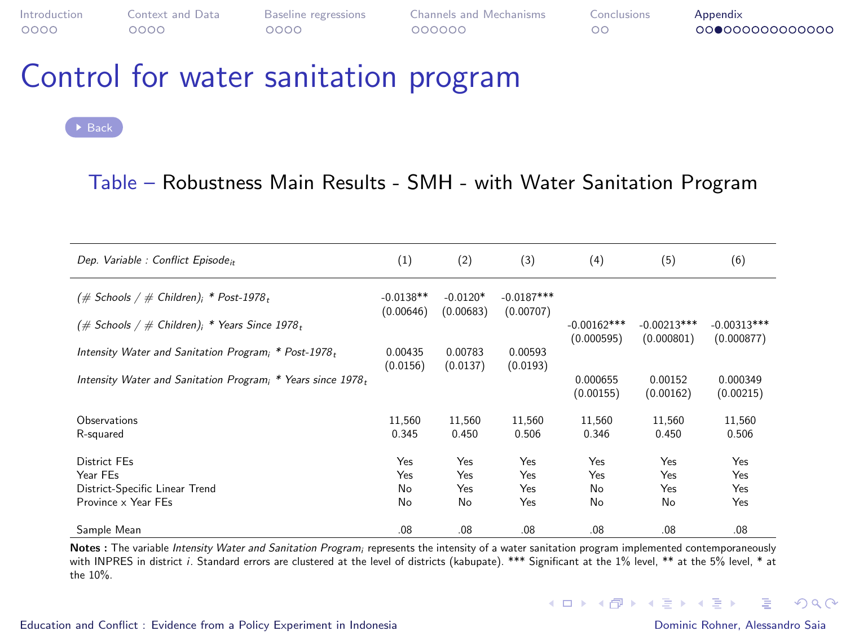### Control for water sanitation program

#### Table – Robustness Main Results - SMH - with Water Sanitation Program

| Dep. Variable : Conflict Episode <sub>it</sub>                  | (1)                      | (2)                     | (3)                       | (4)                         | (5)                         | (6)                         |
|-----------------------------------------------------------------|--------------------------|-------------------------|---------------------------|-----------------------------|-----------------------------|-----------------------------|
| $(\#$ Schools / $\#$ Children); * Post-1978,                    | $-0.0138**$<br>(0.00646) | $-0.0120*$<br>(0.00683) | $-0.0187***$<br>(0.00707) |                             |                             |                             |
| $(\#$ Schools / $\#$ Children); * Years Since 1978 <sub>t</sub> |                          |                         |                           | $-0.00162***$<br>(0.000595) | $-0.00213***$<br>(0.000801) | $-0.00313***$<br>(0.000877) |
| Intensity Water and Sanitation Program; * Post-1978,            | 0.00435<br>(0.0156)      | 0.00783<br>(0.0137)     | 0.00593<br>(0.0193)       |                             |                             |                             |
| Intensity Water and Sanitation Program; * Years since 1978,     |                          |                         |                           | 0.000655<br>(0.00155)       | 0.00152<br>(0.00162)        | 0.000349<br>(0.00215)       |
| Observations<br>R-squared                                       | 11.560<br>0.345          | 11.560<br>0.450         | 11.560<br>0.506           | 11.560<br>0.346             | 11.560<br>0.450             | 11.560<br>0.506             |
| District FFs<br>Year FEs                                        | Yes<br>Yes               | Yes<br>Yes.             | Yes<br>Yes                | Yes<br>Yes                  | Yes<br>Yes                  | Yes<br>Yes                  |
| District-Specific Linear Trend<br>Province x Year FEs           | No<br>No                 | Yes<br>No               | Yes<br>Yes                | No<br>No                    | Yes<br>No                   | Yes<br>Yes                  |
| Sample Mean                                                     | .08 <sub>0</sub>         | .08                     | .08                       | .08                         | .08                         | .08                         |

Notes : The variable Intensity Water and Sanitation Program; represents the intensity of a water sanitation program implemented contemporaneously with INPRES in district i. Standard errors are clustered at the level of districts (kabupate). \*\*\* Significant at the 1% level, \*\* at the 5% level, \* at the 10%.

#### [Education and Conflict : Evidence from a Policy Experiment in Indonesia](#page-0-0) Dominic Rohner, Alessandro Saia

**B** 

 $\Omega$ 

イロメ イ団メ イモメ イモメー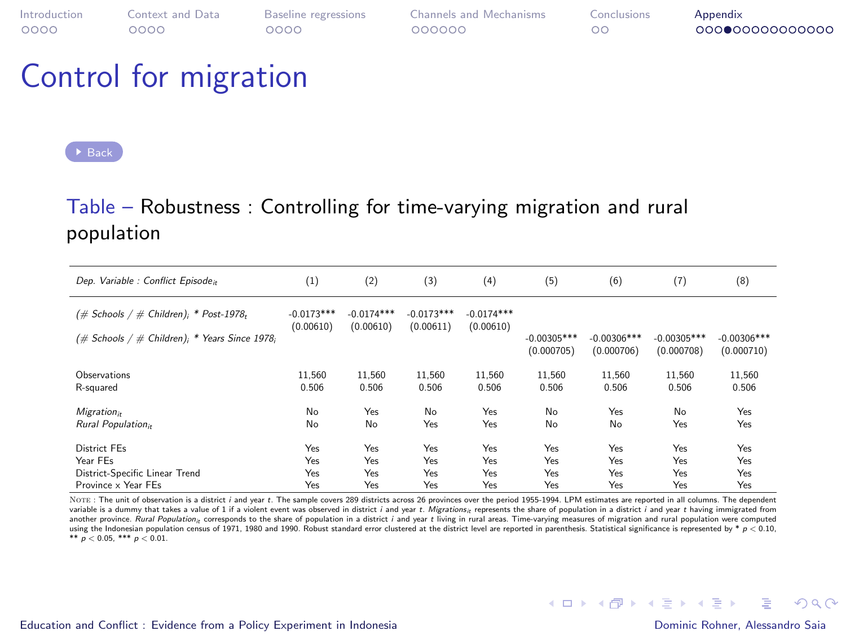### Control for migration

#### $\blacktriangleright$  [Back](#page-0-1)

#### Table – Robustness : Controlling for time-varying migration and rural population

| Dep. Variable : Conflict Episode <sub>it</sub>      | (1)                       | (2)                       | (3)                       | (4)                       | (5)                         | (6)                         | (7)                         | (8)                         |
|-----------------------------------------------------|---------------------------|---------------------------|---------------------------|---------------------------|-----------------------------|-----------------------------|-----------------------------|-----------------------------|
| $(\#$ Schools / $\#$ Children); * Post-1978,        | $-0.0173***$<br>(0.00610) | $-0.0174***$<br>(0.00610) | $-0.0173***$<br>(0.00611) | $-0.0174***$<br>(0.00610) |                             |                             |                             |                             |
| $(\#$ Schools / $\#$ Children); * Years Since 1978; |                           |                           |                           |                           | $-0.00305***$<br>(0.000705) | $-0.00306***$<br>(0.000706) | $-0.00305***$<br>(0.000708) | $-0.00306***$<br>(0.000710) |
| Observations                                        | 11.560                    | 11.560                    | 11,560                    | 11.560                    | 11.560                      | 11.560                      | 11.560                      | 11,560                      |
| R-squared                                           | 0.506                     | 0.506                     | 0.506                     | 0.506                     | 0.506                       | 0.506                       | 0.506                       | 0.506                       |
| Migration <sub>it</sub>                             | No                        | Yes                       | No                        | Yes                       | No                          | Yes                         | No                          | Yes                         |
| Rural Population <sub>it</sub>                      | No                        | No                        | Yes                       | Yes                       | No                          | No                          | Yes                         | Yes                         |
| District FFs                                        | Yes                       | Yes                       | Yes                       | Yes                       | Yes                         | Yes                         | Yes                         | Yes                         |
| Year FEs                                            | Yes                       | Yes                       | Yes                       | Yes                       | Yes                         | Yes                         | Yes                         | Yes                         |
| District-Specific Linear Trend                      | Yes                       | Yes                       | Yes                       | Yes                       | Yes                         | Yes                         | Yes                         | Yes                         |
| Province x Year FEs                                 | Yes                       | Yes                       | Yes                       | Yes                       | Yes                         | Yes                         | Yes                         | Yes                         |

NOTE: The unit of observation is a district i and year t. The sample covers 289 districts across 26 provinces over the period 1955-1994. LPM estimates are reported in all columns. The dependent variable is a dummy that takes a value of 1 if a violent event was observed in district i and year t. Migrations» represents the share of population in a district i and year t having immigrated from another province. Rural Population<sub>it</sub> corresponds to the share of population in a district i and year t living in rural areas. Time-varying measures of migration and rural population were computed using the Indonesian population census of 1971, 1980 and 1990. Robust standard error clustered at the district level are reported in parenthesis. Statistical significance is represented by  $*$  p < 0.10. \*\*  $p < 0.05$ , \*\*\*  $p < 0.01$ .

 $\equiv$ 

 $\Omega$ 

イロメ イ団メ イモメ イモメー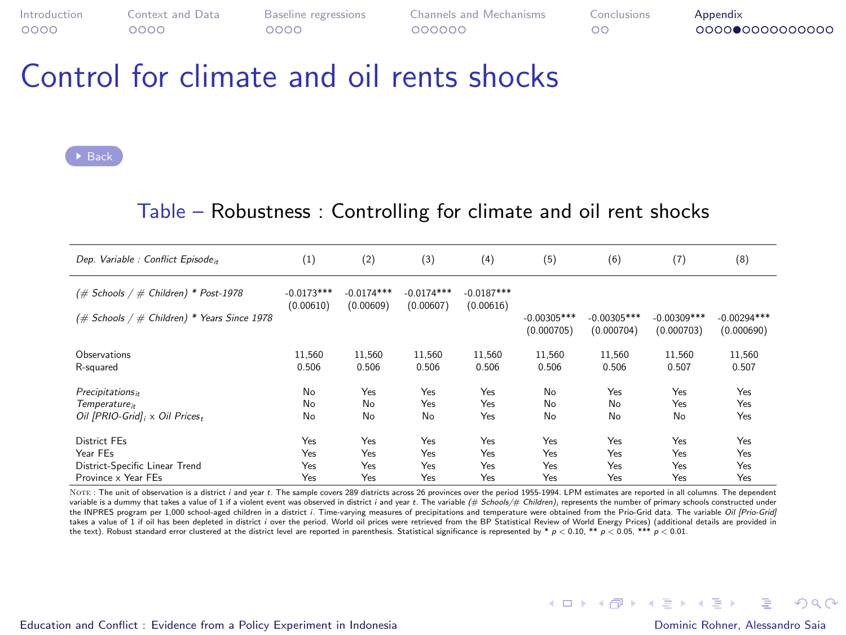$\circ$ 

[Introduction](#page-1-0) [Context and Data](#page-5-0) [Baseline regressions](#page-9-0) [Channels and Mechanisms](#page-13-0) [Conclusions](#page-19-0) [Appendix](#page-21-0)

### Control for climate and oil rents shocks

[Back](#page-0-1)

#### Table – Robustness : Controlling for climate and oil rent shocks

| Dep. Variable : Conflict Episode <sub>it</sub> | (1)                       | (2)                       | (3)                       | (4)                       | (5)                         | (6)                         | (7)                         | (8)                         |
|------------------------------------------------|---------------------------|---------------------------|---------------------------|---------------------------|-----------------------------|-----------------------------|-----------------------------|-----------------------------|
| (# Schools / # Children) * Post-1978           | $-0.0173***$<br>(0.00610) | $-0.0174***$<br>(0.00609) | $-0.0174***$<br>(0.00607) | $-0.0187***$<br>(0.00616) |                             |                             |                             |                             |
| (# Schools / # Children) * Years Since 1978    |                           |                           |                           |                           | $-0.00305***$<br>(0.000705) | $-0.00305***$<br>(0.000704) | $-0.00309***$<br>(0.000703) | $-0.00294***$<br>(0.000690) |
| Observations                                   | 11.560                    | 11.560                    | 11.560                    | 11.560                    | 11.560                      | 11.560                      | 11.560                      | 11,560                      |
| R-squared                                      | 0.506                     | 0.506                     | 0.506                     | 0.506                     | 0.506                       | 0.506                       | 0.507                       | 0.507                       |
| Precipitations <sub>it</sub>                   | No                        | Yes                       | Yes                       | Yes                       | No                          | Yes                         | Yes                         | Yes                         |
| Temperature:                                   | No                        | No                        | Yes                       | Yes                       | No                          | No                          | Yes                         | Yes                         |
| Oil [PRIO-Grid]; x Oil Prices,                 | No                        | No                        | No                        | Yes                       | No                          | No                          | No                          | Yes                         |
| <b>District FEs</b>                            | Yes                       | Yes                       | Yes                       | Yes                       | Yes                         | Yes                         | Yes                         | Yes                         |
| Year FEs                                       | Yes                       | Yes                       | Yes                       | Yes                       | Yes                         | Yes                         | Yes                         | Yes                         |
| District-Specific Linear Trend                 | Yes                       | Yes                       | Yes                       | Yes                       | Yes                         | Yes                         | Yes                         | Yes                         |
| Province x Year FEs                            | Yes                       | Yes                       | Yes                       | Yes                       | Yes                         | Yes                         | Yes                         | Yes                         |

NOTE: The unit of observation is a district i and year t. The sample covers 289 districts across 26 provinces over the period 1955-1994. LPM estimates are reported in all columns. The dependent variable is a dummy that takes a value of 1 if a violent event was observed in district i and year t. The variable (# Schools/# Children); represents the number of primary schools constructed under the INPRES program per 1,000 school-aged children in a district i. Time-varying measures of precipitations and temperature were obtained from the Prio-Grid data. The variable Oil IPrio-Grid takes a value of 1 if oil has been depleted in district <sup>i</sup> over the period. World oil prices were retrieved from the [BP Statistical Review of World Energy Prices\)](https://www.bp.com/en/global/corporate/energy-economics/statistical-review-of-world-energy/oil/oil-prices.html) (additional details are provided in the text). Robust standard error clustered at the district level are reported in parenthesis. Statistical significance is represented by \*  $p < 0.10$ . \*\*  $p < 0.05$ . \*\*\*  $p < 0.01$ .

**KORK EXTERNS AND KOACH**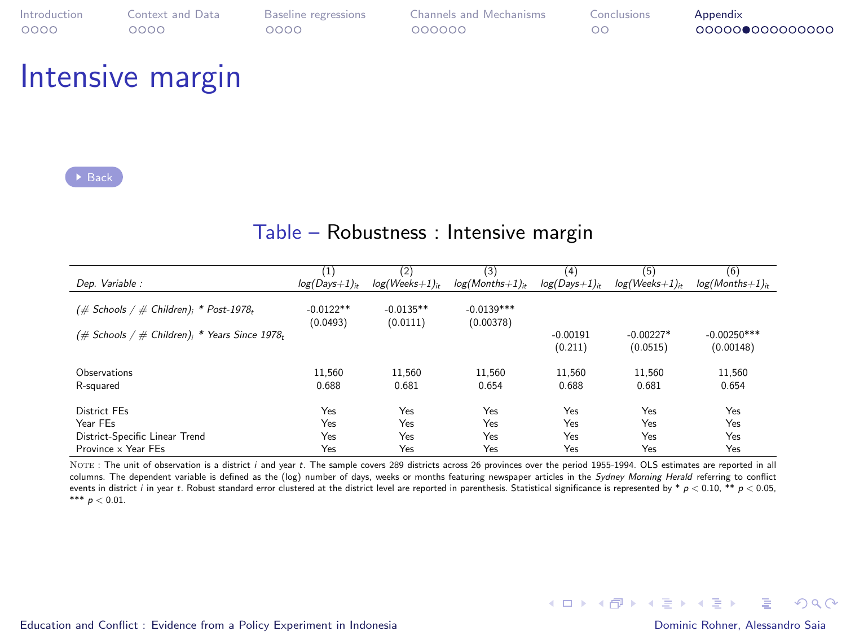### Intensive margin

[Back](#page-0-1)

#### Table – Robustness : Intensive margin

|                                                     | $^{(1)}$        | (2)              | (3)                    | (4)             | (5)              | (6)               |
|-----------------------------------------------------|-----------------|------------------|------------------------|-----------------|------------------|-------------------|
| Dep. Variable :                                     | $log(Days+1)_h$ | $log(Weeks+1)_i$ | $log(M on this + 1)_n$ | $log(Days+1)it$ | $log(Weeks+1)_n$ | $log(Months+1)_n$ |
|                                                     |                 |                  |                        |                 |                  |                   |
| $(\#$ Schools / $\#$ Children); * Post-1978,        | $-0.0122**$     | $-0.0135**$      | $-0.0139***$           |                 |                  |                   |
|                                                     | (0.0493)        | (0.0111)         | (0.00378)              |                 |                  |                   |
| $(\#$ Schools / $\#$ Children); * Years Since 1978, |                 |                  |                        | $-0.00191$      | $-0.00227*$      | $-0.00250***$     |
|                                                     |                 |                  |                        |                 |                  |                   |
|                                                     |                 |                  |                        | (0.211)         | (0.0515)         | (0.00148)         |
|                                                     |                 |                  |                        |                 |                  |                   |
| Observations                                        | 11.560          | 11.560           | 11.560                 | 11.560          | 11.560           | 11.560            |
| R-squared                                           | 0.688           | 0.681            | 0.654                  | 0.688           | 0.681            | 0.654             |
|                                                     |                 |                  |                        |                 |                  |                   |
| <b>District FEs</b>                                 | Yes             | Yes              | Yes                    | Yes             | Yes              | Yes               |
| Year FFs                                            | Yes             | Yes              | Yes                    | Yes             | Yes              | Yes               |
| District-Specific Linear Trend                      | Yes             | Yes              | Yes                    | Yes             | Yes              | Yes               |
| Province x Year FEs                                 | Yes             | Yes              | Yes                    | Yes             | Yes              | Yes               |

NOTE: The unit of observation is a district i and year t. The sample covers 289 districts across 26 provinces over the period 1955-1994. OLS estimates are reported in all columns. The dependent variable is defined as the (log) number of days, weeks or months featuring newspaper articles in the Sydney Morning Herald referring to conflict events in district i in year t. Robust standard error clustered at the district level are reported in parenthesis. Statistical significance is represented by \*  $p < 0.10$ , \*\*  $p < 0.05$ . \*\*\*  $p < 0.01$ .

后

 $\Omega$ 

 $\left\{ \begin{array}{ccc} 1 & 0 & 0 \\ 0 & 1 & 0 \end{array} \right.$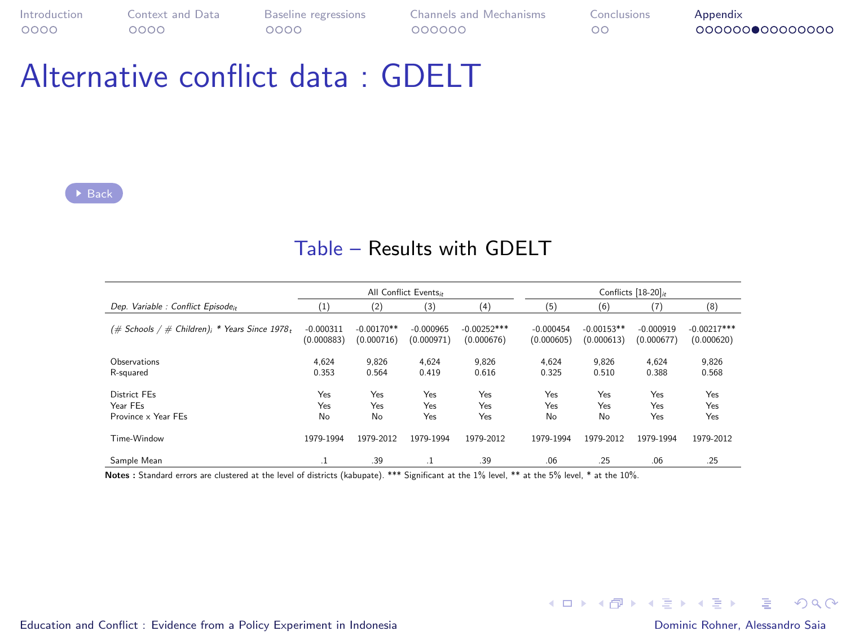### Alternative conflict data : GDELT

#### Table – Results with GDELT

|                                                  |                           |                            | All Conflict Events.      |                             | Conflicts [18-20] <sup>*</sup> |                            |                           |                             |
|--------------------------------------------------|---------------------------|----------------------------|---------------------------|-----------------------------|--------------------------------|----------------------------|---------------------------|-----------------------------|
| Dep. Variable : Conflict Episode.,               | $^{(1)}$                  | (2)                        | (3)                       | (4)                         | (5)                            | (6)                        | (7)                       | (8)                         |
| # Children); * Years Since 1978,<br>(# Schools / | $-0.000311$<br>(0.000883) | $-0.00170**$<br>(0.000716) | $-0.000965$<br>(0.000971) | $-0.00252***$<br>(0.000676) | $-0.000454$<br>(0.000605)      | $-0.00153**$<br>(0.000613) | $-0.000919$<br>(0.000677) | $-0.00217***$<br>(0.000620) |
| Observations<br>R-squared                        | 4.624<br>0.353            | 9.826<br>0.564             | 4.624<br>0.419            | 9.826<br>0.616              | 4.624<br>0.325                 | 9.826<br>0.510             | 4.624<br>0.388            | 9.826<br>0.568              |
| District FEs<br>Year FEs<br>Province x Year FFs  | Yes<br>Yes<br>No          | Yes<br>Yes<br>No           | Yes<br>Yes<br>Yes         | Yes<br>Yes<br>Yes           | Yes<br>Yes<br>No               | Yes<br>Yes<br>No           | Yes<br>Yes<br>Yes         | Yes<br>Yes<br>Yes           |
| Time-Window                                      | 1979-1994                 | 1979-2012                  | 1979-1994                 | 1979-2012                   | 1979-1994                      | 1979-2012                  | 1979-1994                 | 1979-2012                   |
| Sample Mean                                      | - 1                       | .39                        | $\cdot$                   | .39                         | .06                            | .25                        | .06                       | .25                         |

Notes : Standard errors are clustered at the level of districts (kabupate). \*\*\* Significant at the 1% level, \*\* at the 5% level, \* at the 10%.

[Education and Conflict : Evidence from a Policy Experiment in Indonesia](#page-0-0) **Dominic Rohner, Alessandro Saia** Dominic Rohner, Alessandro Saia

**KORK ERKERK ERKADEL**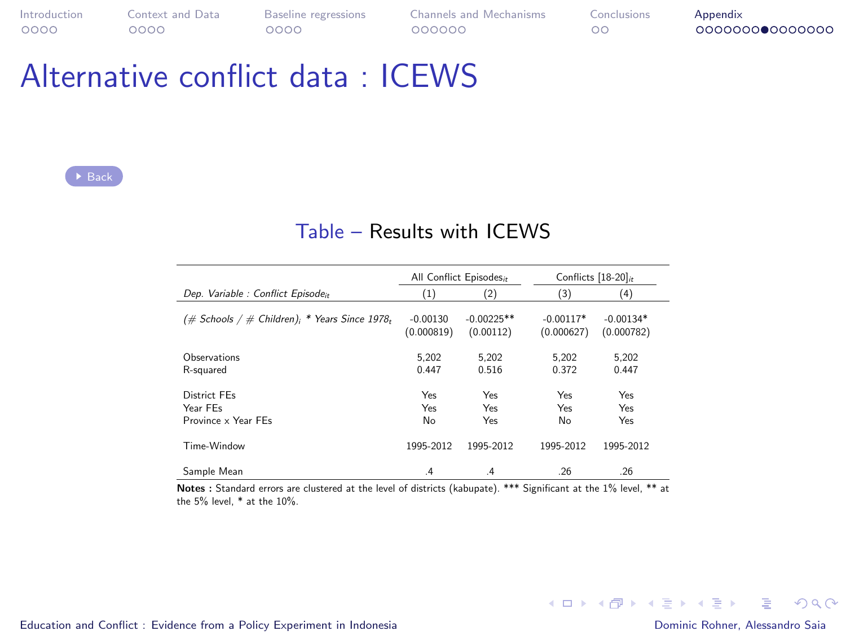### Alternative conflict data : ICEWS

#### Table – Results with ICEWS

|                                                     |                          | All Conflict Episodes <sub>it</sub> | Conflicts $[18-20]_{it}$  |                           |  |
|-----------------------------------------------------|--------------------------|-------------------------------------|---------------------------|---------------------------|--|
| Dep. Variable : Conflict Episodeit                  | (1)                      | (2)                                 | (3)                       | (4)                       |  |
| $(\#$ Schools / $\#$ Children); * Years Since 1978, | $-0.00130$<br>(0.000819) | $-0.00225**$<br>(0.00112)           | $-0.00117*$<br>(0.000627) | $-0.00134*$<br>(0.000782) |  |
| Observations<br>R-squared                           | 5.202<br>0447            | 5.202<br>0.516                      | 5.202<br>0.372            | 5.202<br>0447             |  |
| District FFs<br>Year FFs<br>Province x Year FFs     | Yes<br>Yes<br>No         | Yes<br>Yes<br>Yes                   | Yes<br>Yes<br>No          | Yes<br>Yes<br>Yes         |  |
| Time-Window                                         | 1995-2012                | 1995-2012                           | 1995-2012                 | 1995-2012                 |  |
| Sample Mean                                         | $\cdot$ <sup>4</sup>     | $\cdot$ <sup>4</sup>                | .26                       | .26                       |  |

Notes : Standard errors are clustered at the level of districts (kabupate). \*\*\* Significant at the 1% level, \*\* at the 5% level, \* at the 10%.

[Education and Conflict : Evidence from a Policy Experiment in Indonesia](#page-0-0) **Dominic Rohner, Alessandro Saia** Dominic Rohner, Alessandro Saia

K ロ ▶ K 個 ▶ K 듣 ▶ K 듣 ▶ 「 듣 → 9 Q Q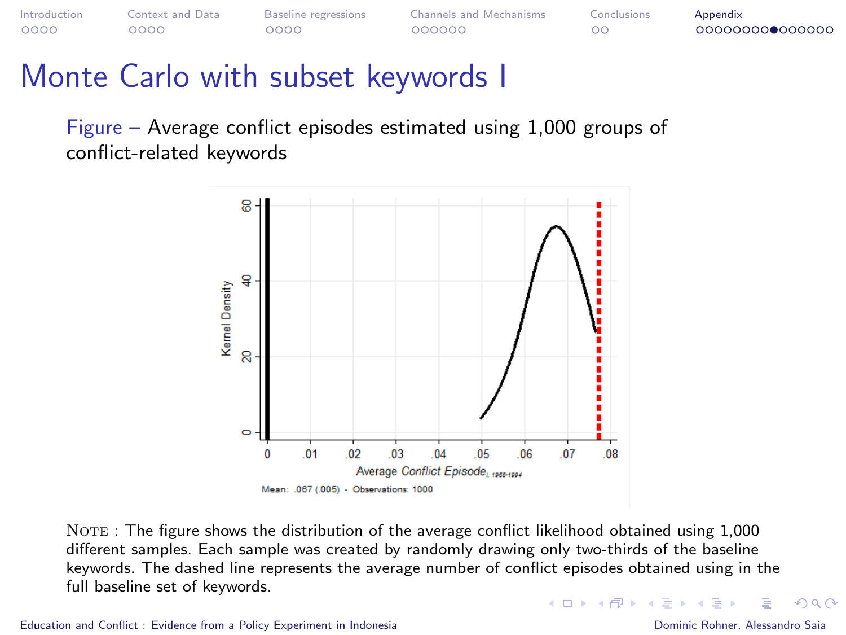### <span id="page-29-0"></span>Monte Carlo with subset keywords I

Figure – Average conflict episodes estimated using 1,000 groups of conflict-related keywords



 $\text{NOTE}$ : The figure shows the distribution of the average conflict likelihood obtained using 1,000 different samples. Each sample was created by randomly drawing only two-thirds of the baseline keywords. The dashed line represents the average number of conflict episodes obtained using in the full baseline set of keywords. **K ロ ト K 何 ト K ヨ ト K ヨ** 

 $\Omega$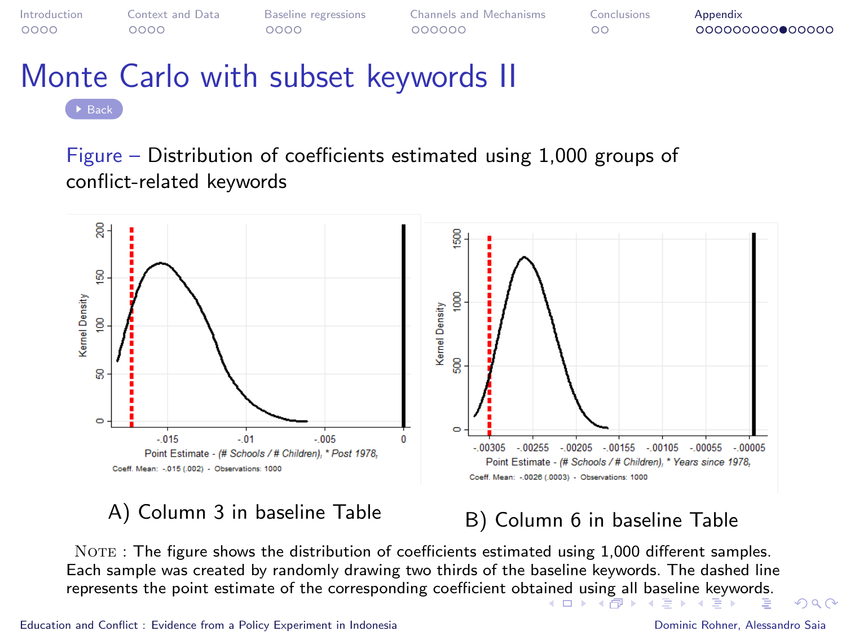<span id="page-30-0"></span>

# Monte Carlo with subset keywords II

Figure – Distribution of coefficients estimated using 1,000 groups of conflict-related keywords



### A) Column 3 in baseline Table  $B$ ) Column 6 in baseline Table

NOTE : The figure shows the distribution of coefficients estimated using 1,000 different samples. Each sample was created by randomly drawing two thirds of the baseline keywords. The dashed line represents the point estimate of the corresponding coefficient obt[aine](#page-29-0)d [us](#page-31-0)[in](#page-29-0)[g a](#page-30-0)[ll](#page-31-0) [b](#page-20-0)[as](#page-21-0)[elin](#page-35-0)[e](#page-20-0) [k](#page-21-0)[eyw](#page-35-0)[ord](#page-0-0)[s.](#page-35-0)

 $\Omega$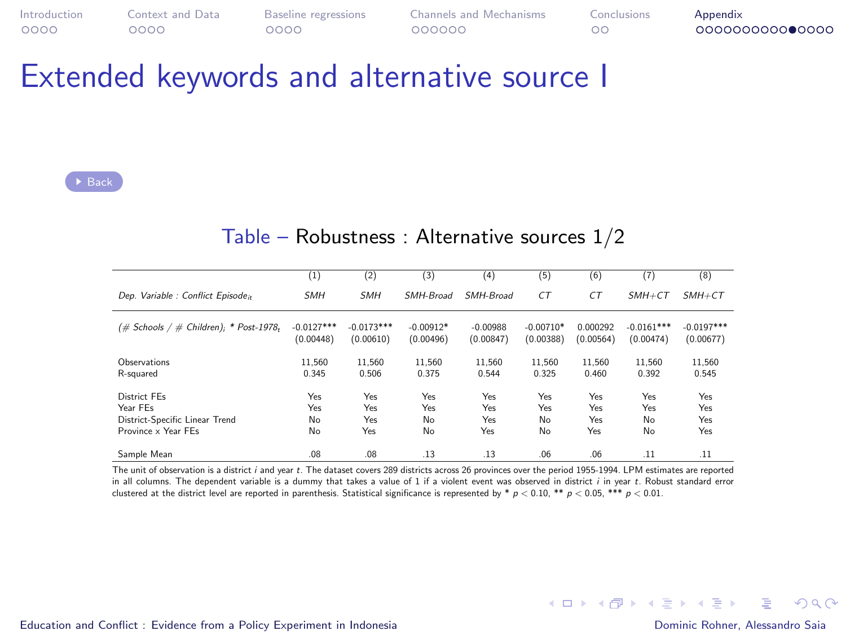<span id="page-31-0"></span>

| Introduction | Context and Data | Baseline regressions | Channels and Mechanisms | Conclusions | Appendix        |
|--------------|------------------|----------------------|-------------------------|-------------|-----------------|
| 0000         | 2000             | ೦೦೦೦                 | 000000                  | nс          | 000000000000000 |

### Extended keywords and alternative source I

 $\triangleright$  [Back](#page-0-1)

#### Table – Robustness : Alternative sources 1/2

|                                              | $_{(1)}$     | $^{(2)}$     | (3)         | (4)        | (5)         | (6)       | (7)          | (8)          |
|----------------------------------------------|--------------|--------------|-------------|------------|-------------|-----------|--------------|--------------|
| Dep. Variable : Conflict Episoden            | <b>SMH</b>   | <b>SMH</b>   | SMH-Broad   | SMH-Broad  | CT          | CT        | $SMH + CT$   | $SMH + CT$   |
| $(\#$ Schools / $\#$ Children); * Post-1978, | $-0.0127***$ | $-0.0173***$ | $-0.00912*$ | $-0.00988$ | $-0.00710*$ | 0.000292  | $-0.0161***$ | $-0.0197***$ |
|                                              | (0.00448)    | (0.00610)    | (0.00496)   | (0.00847)  | (0.00388)   | (0.00564) | (0.00474)    | (0.00677)    |
| Observations                                 | 11.560       | 11.560       | 11.560      | 11.560     | 11.560      | 11.560    | 11.560       | 11.560       |
| R-squared                                    | 0.345        | 0.506        | 0.375       | 0.544      | 0.325       | 0.460     | 0.392        | 0.545        |
| District FEs                                 | Yes          | Yes          | Yes         | Yes        | Yes         | Yes       | Yes          | Yes          |
| Year FFs                                     | Yes          | Yes          | Yes         | Yes        | Yes         | Yes       | Yes          | Yes          |
| District-Specific Linear Trend               | No           | Yes          | <b>No</b>   | Yes        | No          | Yes       | No           | Yes          |
| Province x Year FFs                          | No           | Yes          | No          | Yes        | No          | Yes       | No           | Yes          |
| Sample Mean                                  | .08          | .08.         | .13         | .13        | .06         | .06       | .11          | .11          |

The unit of observation is a district <sup>i</sup> and year <sup>t</sup>. The dataset covers 289 districts across 26 provinces over the period 1955-1994. LPM estimates are reported in all columns. The dependent variable is a dummy that takes a value of 1 if a violent event was observed in district <sup>i</sup> in year <sup>t</sup>. Robust standard error clustered at the district level are reported in parenthesis. Statistical significance is represented by \*  $p < 0.10$ , \*\*  $p < 0.05$ , \*\*\*  $p < 0.01$ .

[Education and Conflict : Evidence from a Policy Experiment in Indonesia](#page-0-0) Dominic Rohner, Alessandro Saia

 $\Omega$ 

メロトメ 御 トメ 君 トメ 君 トー 君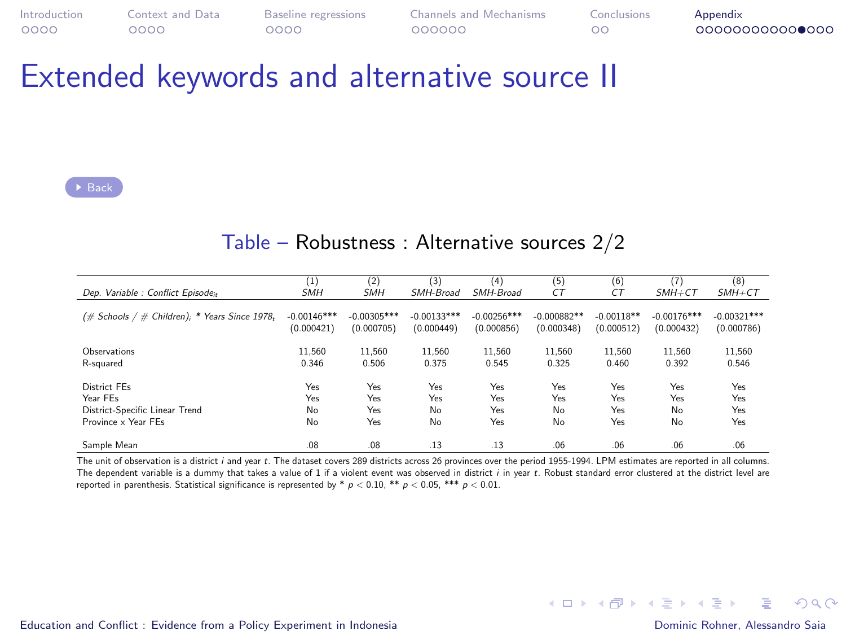| Introduction | Context and Data | Baseline regressions | <b>Channels and Mechanisms</b> | Conclusions | Appendix        |
|--------------|------------------|----------------------|--------------------------------|-------------|-----------------|
| 0000         | ೦೦೦೦             | 0000                 | 000000                         |             | 000000000000000 |

### Extended keywords and alternative source II

#### Table – Robustness : Alternative sources 2/2

|                                                                 | $\left(1\right)$<br><b>SMH</b> | (2)<br><b>SMH</b> | (3)<br>SMH-Broad | (4)<br>SMH-Broad | (5)<br>CT     | (6)<br>CT    | (7)<br>$SMH+CT$ | (8)<br>$SMH + CT$ |
|-----------------------------------------------------------------|--------------------------------|-------------------|------------------|------------------|---------------|--------------|-----------------|-------------------|
| Dep. Variable : Conflict Episode:                               |                                |                   |                  |                  |               |              |                 |                   |
| $(\#$ Schools / $\#$ Children); * Years Since 1978 <sub>t</sub> | $-0.00146***$                  | $-0.00305***$     | $-0.00133***$    | $-0.00256***$    | $-0.000882**$ | $-0.00118**$ | $-0.00176***$   | $-0.00321***$     |
|                                                                 | (0.000421)                     | (0.000705)        | (0.000449)       | (0.000856)       | (0.000348)    | (0.000512)   | (0.000432)      | (0.000786)        |
| Observations                                                    | 11.560                         | 11.560            | 11.560           | 11.560           | 11.560        | 11.560       | 11.560          | 11.560            |
| R-squared                                                       | 0.346                          | 0.506             | 0.375            | 0.545            | 0.325         | 0.460        | 0.392           | 0.546             |
| District FFs                                                    | Yes                            | Yes               | Yes              | Yes              | Yes           | Yes          | Yes             | Yes               |
| Year FFs                                                        | Yes                            | Yes               | Yes              | Yes              | Yes           | Yes          | Yes             | Yes               |
| District-Specific Linear Trend                                  | No                             | Yes               | No               | Yes              | No            | Yes          | No              | Yes               |
| Province x Year FFs                                             | No                             | Yes               | No               | Yes              | No            | Yes          | No              | Yes               |
| Sample Mean                                                     | .08                            | .08               | .13              | .13              | .06           | .06          | .06             | .06               |

The unit of observation is a district *i* and year t. The dataset covers 289 districts across 26 provinces over the period 1955-1994. LPM estimates are reported in all columns.<br>The dependent variable is a dummy that takes reported in parenthesis. Statistical significance is represented by \*  $p < 0.10$ , \*\*  $p < 0.05$ , \*\*\*  $p < 0.01$ .

[Education and Conflict : Evidence from a Policy Experiment in Indonesia](#page-0-0) Dominic Rohner, Alessandro Saia

**KORK EXTERNS AND KOACH**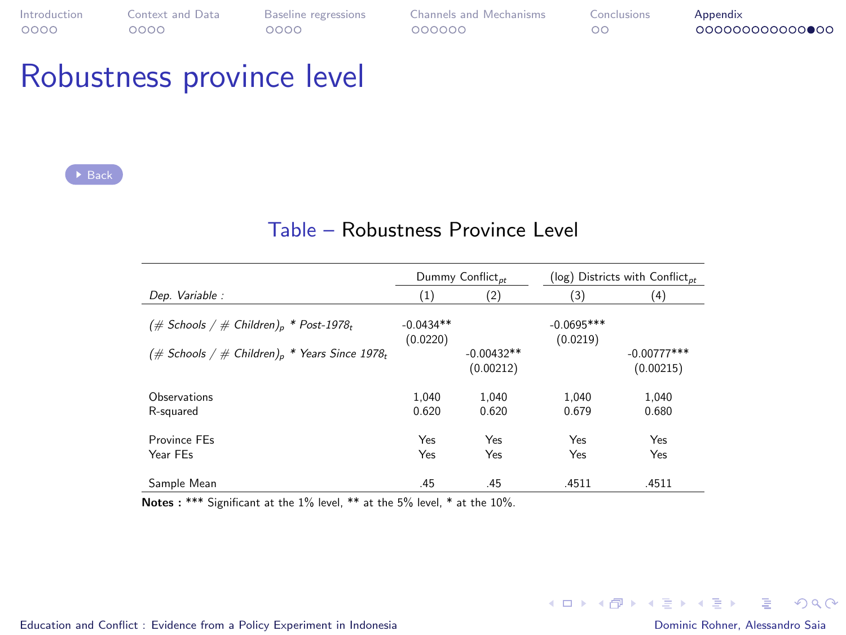### Robustness province level

 $\rightarrow$  [Back](#page-0-1)

#### Table – Robustness Province Level

|                                                                       |                         | Dummy Conflict <sub>nt</sub> |                          | ( $log$ ) Districts with Conflict <sub>nt</sub> |
|-----------------------------------------------------------------------|-------------------------|------------------------------|--------------------------|-------------------------------------------------|
| Dep. Variable:                                                        | (1)                     | (2)                          | (3)                      | (4)                                             |
| $(\#$ Schools / $\#$ Children) <sub>n</sub> * Post-1978 <sub>t</sub>  | $-0.0434**$<br>(0.0220) |                              | $-0.0695***$<br>(0.0219) |                                                 |
| (# Schools / # Children) <sub>p</sub> * Years Since 1978 <sub>t</sub> |                         | $-0.00432**$<br>(0.00212)    |                          | $-0.00777***$<br>(0.00215)                      |
| Observations                                                          | 1.040                   | 1.040                        | 1.040                    | 1.040                                           |
| R-sauared                                                             | 0.620                   | 0.620                        | 0.679                    | 0.680                                           |
| Province FFs<br>Year FFs                                              | Yes<br>Yes              | Yes<br>Yes                   | Yes<br>Yes               | Yes<br>Yes                                      |
| Sample Mean                                                           | .45                     | .45                          | .4511                    | .4511                                           |

Notes : \*\*\* Significant at the 1% level, \*\* at the 5% level, \* at the 10%.

G.

 $QQ$ 

イロメ イ団メ イモメ イモメー

[Education and Conflict : Evidence from a Policy Experiment in Indonesia](#page-0-0) **Dominic Rohner, Alessandro Saia** Dominic Rohner, Alessandro Saia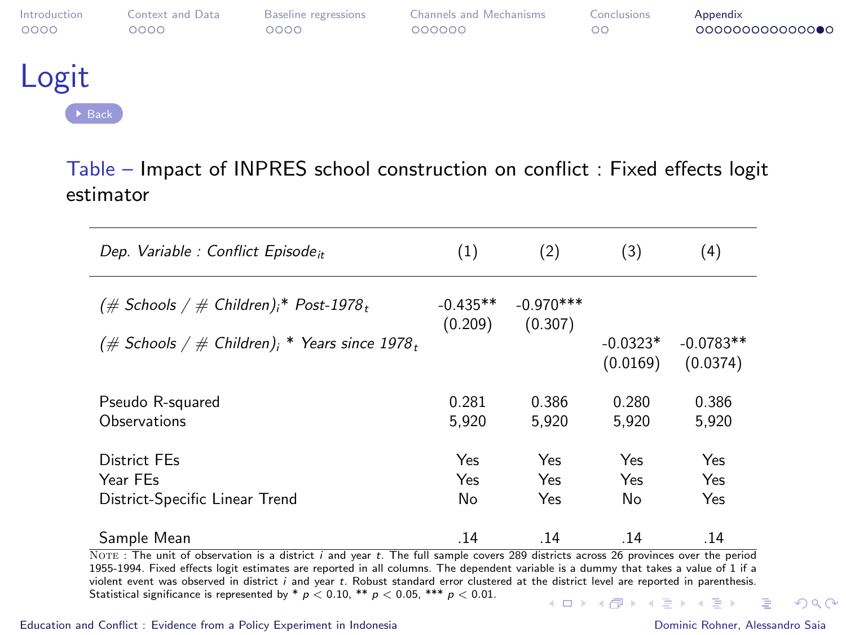<span id="page-34-0"></span>

| Introduction | Context and Data | <b>Baseline</b> regressions | <b>Channels and Mechanisms</b> | Conclusions | Appendix        |
|--------------|------------------|-----------------------------|--------------------------------|-------------|-----------------|
| 0000         | ററററ             | റററെ                        | 000000                         | ററ          | 000000000000000 |
|              |                  |                             |                                |             |                 |

### Logit

[Back](#page-0-1)

#### Table – Impact of INPRES school construction on conflict : Fixed effects logit estimator

| Dep. Variable : Conflict Episode <sub>it</sub>                             | (1)                   | (2)                                       | (3)                    | (4)                     |
|----------------------------------------------------------------------------|-----------------------|-------------------------------------------|------------------------|-------------------------|
| $(\text{# Schools}/\text{# Children})$ <sup>*</sup> Post-1978 <sub>t</sub> | $-0.435**$<br>(0.209) | $-0.970***$<br>(0.307)                    |                        |                         |
| $(\text{\# Schools / \# Children})_i$ * Years since 1978,                  |                       |                                           | $-0.0323*$<br>(0.0169) | $-0.0783**$<br>(0.0374) |
| Pseudo R-squared<br>Observations                                           | 0.281<br>5.920        | 0.386<br>5.920                            | 0.280<br>5.920         | 0.386<br>5,920          |
| District FEs<br>Year FEs<br>District-Specific Linear Trend                 | Yes<br>Yes<br>No      | Yes<br>Yes<br>Yes                         | Yes<br>Yes<br>No       | Yes<br>Yes<br>Yes       |
| Sample Mean<br>$-$<br>$\cdots$<br>$-$<br>$\overline{\phantom{a}}$          | .14                   | .14<br>$\sim$ $\sim$ $\sim$ $\sim$ $\sim$ | .14<br>$\overline{a}$  | .14                     |

Note : The unit of observation is a district <sup>i</sup> and year <sup>t</sup>. The full sample covers 289 districts across 26 provinces over the period 1955-1994. Fixed effects logit estimates are reported in all columns. The dependent variable is a dummy that takes a value of 1 if a violent event was observed in district <sup>i</sup> and year <sup>t</sup>. Robust standard error clustered at the district level are reported in parenthesis. Statistical significance is represented by \*  $p < 0.10$ , \*\*  $p < 0.05$ , \*\*\*  $p < 0.01$ . **KORK EXTERNS AND KOACH**